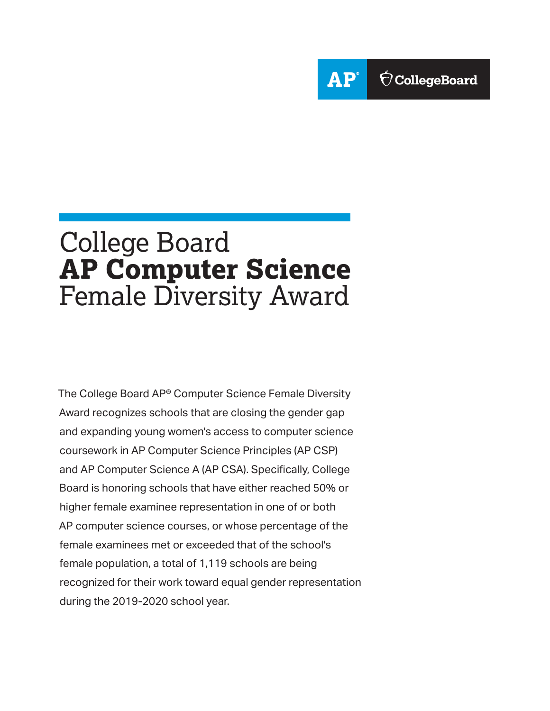

The College Board AP® Computer Science Female Diversity Award recognizes schools that are closing the gender gap and expanding young women's access to computer science coursework in AP Computer Science Principles (AP CSP) and AP Computer Science A (AP CSA). Specifically, College Board is honoring schools that have either reached 50% or higher female examinee representation in one of or both AP computer science courses, or whose percentage of the female examinees met or exceeded that of the school's female population, a total of 1,119 schools are being recognized for their work toward equal gender representation during the 2019-2020 school year.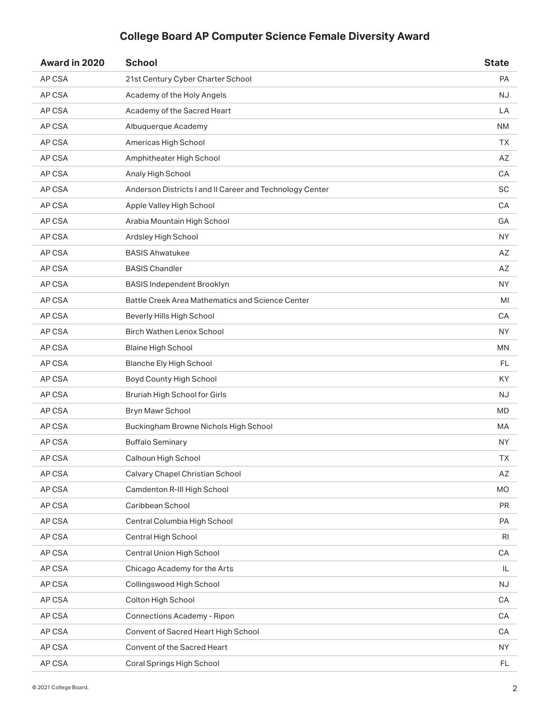| Award in 2020 | <b>School</b>                                            | <b>State</b>   |
|---------------|----------------------------------------------------------|----------------|
| AP CSA        | 21st Century Cyber Charter School                        | PA             |
| AP CSA        | Academy of the Holy Angels                               | <b>NJ</b>      |
| AP CSA        | Academy of the Sacred Heart                              | LA             |
| AP CSA        | Albuquerque Academy                                      | <b>NM</b>      |
| AP CSA        | Americas High School                                     | <b>TX</b>      |
| AP CSA        | Amphitheater High School                                 | AZ             |
| AP CSA        | Analy High School                                        | CA             |
| AP CSA        | Anderson Districts I and II Career and Technology Center | <b>SC</b>      |
| AP CSA        | Apple Valley High School                                 | CA             |
| AP CSA        | Arabia Mountain High School                              | GA             |
| AP CSA        | Ardsley High School                                      | <b>NY</b>      |
| AP CSA        | <b>BASIS Ahwatukee</b>                                   | AZ             |
| AP CSA        | <b>BASIS Chandler</b>                                    | AZ             |
| AP CSA        | <b>BASIS Independent Brooklyn</b>                        | <b>NY</b>      |
| AP CSA        | Battle Creek Area Mathematics and Science Center         | MI             |
| AP CSA        | Beverly Hills High School                                | CA             |
| AP CSA        | <b>Birch Wathen Lenox School</b>                         | <b>NY</b>      |
| AP CSA        | <b>Blaine High School</b>                                | <b>MN</b>      |
| AP CSA        | <b>Blanche Ely High School</b>                           | FL             |
| AP CSA        | Boyd County High School                                  | KY             |
| AP CSA        | Bruriah High School for Girls                            | NJ             |
| AP CSA        | <b>Bryn Mawr School</b>                                  | <b>MD</b>      |
| AP CSA        | Buckingham Browne Nichols High School                    | MA             |
| AP CSA        | <b>Buffalo Seminary</b>                                  | <b>NY</b>      |
| AP CSA        | Calhoun High School                                      | TX             |
| AP CSA        | Calvary Chapel Christian School                          | AZ             |
| AP CSA        | Camdenton R-III High School                              | <b>MO</b>      |
| AP CSA        | Caribbean School                                         | <b>PR</b>      |
| AP CSA        | Central Columbia High School                             | PA             |
| AP CSA        | Central High School                                      | R <sub>l</sub> |
| AP CSA        | Central Union High School                                | CA             |
| AP CSA        | Chicago Academy for the Arts                             | IL             |
| AP CSA        | Collingswood High School                                 | <b>NJ</b>      |
| AP CSA        | Colton High School                                       | CA             |
| AP CSA        | <b>Connections Academy - Ripon</b>                       | CA             |
| AP CSA        | Convent of Sacred Heart High School                      | CA             |
| AP CSA        | Convent of the Sacred Heart                              | <b>NY</b>      |
| AP CSA        | Coral Springs High School                                | FL             |
|               |                                                          |                |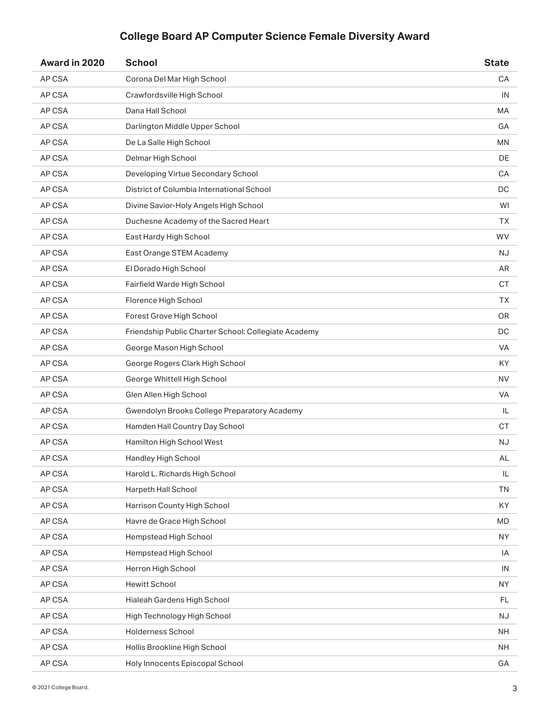| Award in 2020 | <b>School</b>                                        | <b>State</b> |
|---------------|------------------------------------------------------|--------------|
| AP CSA        | Corona Del Mar High School                           | CA           |
| AP CSA        | Crawfordsville High School                           | IN           |
| AP CSA        | Dana Hall School                                     | MA           |
| AP CSA        | Darlington Middle Upper School                       | GА           |
| AP CSA        | De La Salle High School                              | <b>MN</b>    |
| AP CSA        | Delmar High School                                   | DE           |
| AP CSA        | Developing Virtue Secondary School                   | CA           |
| AP CSA        | District of Columbia International School            | DC           |
| AP CSA        | Divine Savior-Holy Angels High School                | WI           |
| AP CSA        | Duchesne Academy of the Sacred Heart                 | ТX           |
| AP CSA        | East Hardy High School                               | <b>WV</b>    |
| AP CSA        | East Orange STEM Academy                             | <b>NJ</b>    |
| AP CSA        | El Dorado High School                                | AR           |
| AP CSA        | Fairfield Warde High School                          | <b>CT</b>    |
| AP CSA        | Florence High School                                 | <b>TX</b>    |
| AP CSA        | Forest Grove High School                             | <b>OR</b>    |
| AP CSA        | Friendship Public Charter School: Collegiate Academy | DC           |
| AP CSA        | George Mason High School                             | <b>VA</b>    |
| AP CSA        | George Rogers Clark High School                      | KY           |
| AP CSA        | George Whittell High School                          | <b>NV</b>    |
| AP CSA        | Glen Allen High School                               | VA           |
| AP CSA        | Gwendolyn Brooks College Preparatory Academy         | IL           |
| AP CSA        | Hamden Hall Country Day School                       | <b>CT</b>    |
| AP CSA        | Hamilton High School West                            | <b>NJ</b>    |
| AP CSA        | Handley High School                                  | AL           |
| AP CSA        | Harold L. Richards High School                       | IL           |
| AP CSA        | Harpeth Hall School                                  | <b>TN</b>    |
| AP CSA        | Harrison County High School                          | KY           |
| AP CSA        | Havre de Grace High School                           | <b>MD</b>    |
| AP CSA        | Hempstead High School                                | <b>NY</b>    |
| AP CSA        | Hempstead High School                                | IA           |
| AP CSA        | Herron High School                                   | IN           |
| AP CSA        | <b>Hewitt School</b>                                 | <b>NY</b>    |
| AP CSA        | Hialeah Gardens High School                          | FL.          |
| AP CSA        | High Technology High School                          | <b>NJ</b>    |
| AP CSA        | Holderness School                                    | <b>NH</b>    |
| AP CSA        | Hollis Brookline High School                         | NH.          |
| AP CSA        | Holy Innocents Episcopal School                      | GA           |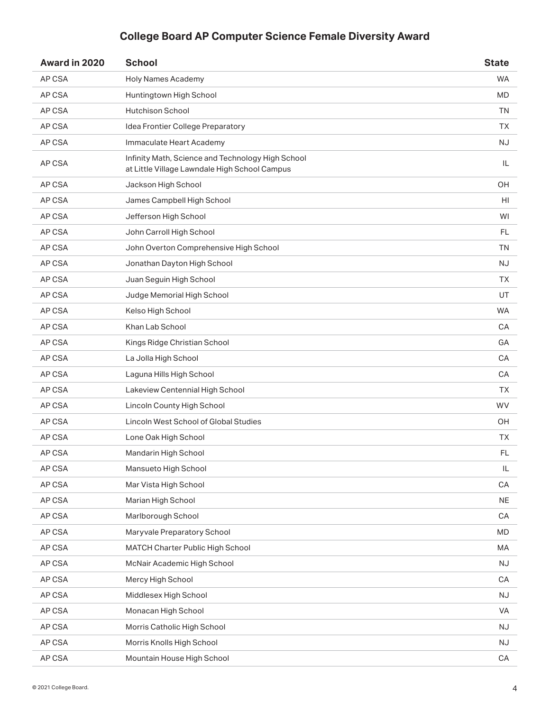| Award in 2020 | <b>School</b>                                                                                      | <b>State</b> |
|---------------|----------------------------------------------------------------------------------------------------|--------------|
| AP CSA        | <b>Holy Names Academy</b>                                                                          | <b>WA</b>    |
| AP CSA        | Huntingtown High School                                                                            | MD           |
| AP CSA        | Hutchison School                                                                                   | <b>TN</b>    |
| AP CSA        | Idea Frontier College Preparatory                                                                  | ТX           |
| AP CSA        | Immaculate Heart Academy                                                                           | <b>NJ</b>    |
| AP CSA        | Infinity Math, Science and Technology High School<br>at Little Village Lawndale High School Campus | IL           |
| AP CSA        | Jackson High School                                                                                | OH           |
| AP CSA        | James Campbell High School                                                                         | HI           |
| AP CSA        | Jefferson High School                                                                              | WI           |
| AP CSA        | John Carroll High School                                                                           | FL           |
| AP CSA        | John Overton Comprehensive High School                                                             | TN           |
| AP CSA        | Jonathan Dayton High School                                                                        | <b>NJ</b>    |
| AP CSA        | Juan Seguin High School                                                                            | TΧ.          |
| AP CSA        | Judge Memorial High School                                                                         | UT           |
| AP CSA        | Kelso High School                                                                                  | <b>WA</b>    |
| AP CSA        | Khan Lab School                                                                                    | CA           |
| AP CSA        | Kings Ridge Christian School                                                                       | GА           |
| AP CSA        | La Jolla High School                                                                               | CA           |
| AP CSA        | Laguna Hills High School                                                                           | CA           |
| AP CSA        | Lakeview Centennial High School                                                                    | <b>TX</b>    |
| AP CSA        | Lincoln County High School                                                                         | <b>WV</b>    |
| AP CSA        | Lincoln West School of Global Studies                                                              | OH           |
| AP CSA        | Lone Oak High School                                                                               | ТX           |
| AP CSA        | Mandarin High School                                                                               | FL.          |
| AP CSA        | Mansueto High School                                                                               | IL           |
| AP CSA        | Mar Vista High School                                                                              | CA           |
| AP CSA        | Marian High School                                                                                 | <b>NE</b>    |
| AP CSA        | Marlborough School                                                                                 | CA           |
| AP CSA        | Maryvale Preparatory School                                                                        | <b>MD</b>    |
| AP CSA        | MATCH Charter Public High School                                                                   | MA           |
| AP CSA        | McNair Academic High School                                                                        | <b>NJ</b>    |
| AP CSA        | Mercy High School                                                                                  | CA           |
| AP CSA        | Middlesex High School                                                                              | NJ           |
| AP CSA        | Monacan High School                                                                                | VA           |
| AP CSA        | Morris Catholic High School                                                                        | <b>NJ</b>    |
| AP CSA        | Morris Knolls High School                                                                          | <b>NJ</b>    |
| AP CSA        | Mountain House High School                                                                         | CA           |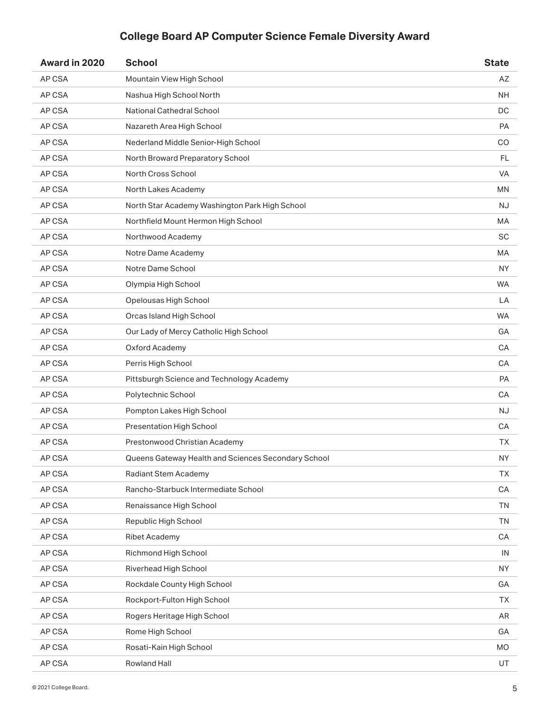| Award in 2020 | <b>School</b>                                       | <b>State</b> |
|---------------|-----------------------------------------------------|--------------|
| AP CSA        | Mountain View High School                           | AZ           |
| AP CSA        | Nashua High School North                            | NH.          |
| AP CSA        | National Cathedral School                           | DC           |
| AP CSA        | Nazareth Area High School                           | PA           |
| AP CSA        | Nederland Middle Senior-High School                 | CO           |
| AP CSA        | North Broward Preparatory School                    | FL.          |
| AP CSA        | North Cross School                                  | <b>VA</b>    |
| AP CSA        | North Lakes Academy                                 | ΜN           |
| AP CSA        | North Star Academy Washington Park High School      | <b>NJ</b>    |
| AP CSA        | Northfield Mount Hermon High School                 | MA           |
| AP CSA        | Northwood Academy                                   | <b>SC</b>    |
| AP CSA        | Notre Dame Academy                                  | <b>MA</b>    |
| AP CSA        | Notre Dame School                                   | <b>NY</b>    |
| AP CSA        | Olympia High School                                 | <b>WA</b>    |
| AP CSA        | Opelousas High School                               | LA           |
| AP CSA        | Orcas Island High School                            | <b>WA</b>    |
| AP CSA        | Our Lady of Mercy Catholic High School              | GА           |
| AP CSA        | Oxford Academy                                      | CA           |
| AP CSA        | Perris High School                                  | СA           |
| AP CSA        | Pittsburgh Science and Technology Academy           | <b>PA</b>    |
| AP CSA        | Polytechnic School                                  | СA           |
| AP CSA        | Pompton Lakes High School                           | <b>NJ</b>    |
| AP CSA        | Presentation High School                            | СA           |
| AP CSA        | Prestonwood Christian Academy                       | TХ           |
| AP CSA        | Queens Gateway Health and Sciences Secondary School | <b>NY</b>    |
| AP CSA        | Radiant Stem Academy                                | <b>TX</b>    |
| AP CSA        | Rancho-Starbuck Intermediate School                 | CA           |
| AP CSA        | Renaissance High School                             | <b>TN</b>    |
| AP CSA        | Republic High School                                | <b>TN</b>    |
| AP CSA        | <b>Ribet Academy</b>                                | CA           |
| AP CSA        | Richmond High School                                | IN           |
| AP CSA        | Riverhead High School                               | NY           |
| AP CSA        | Rockdale County High School                         | GA           |
| AP CSA        | Rockport-Fulton High School                         | <b>TX</b>    |
| AP CSA        | Rogers Heritage High School                         | AR           |
| AP CSA        | Rome High School                                    | GA           |
| AP CSA        | Rosati-Kain High School                             | <b>MO</b>    |
| AP CSA        | Rowland Hall                                        | UT           |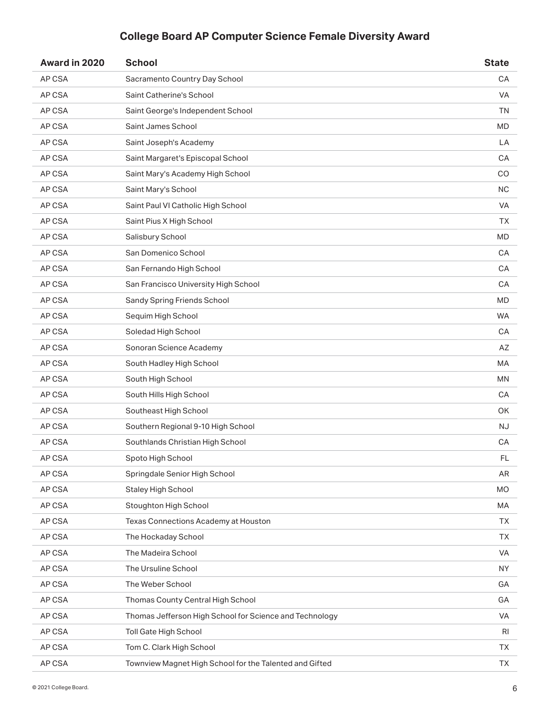| Award in 2020 | <b>School</b>                                           | <b>State</b>  |
|---------------|---------------------------------------------------------|---------------|
| AP CSA        | Sacramento Country Day School                           | CA            |
| AP CSA        | Saint Catherine's School                                | <b>VA</b>     |
| AP CSA        | Saint George's Independent School                       | <b>TN</b>     |
| AP CSA        | Saint James School                                      | <b>MD</b>     |
| AP CSA        | Saint Joseph's Academy                                  | LA            |
| AP CSA        | Saint Margaret's Episcopal School                       | СA            |
| AP CSA        | Saint Mary's Academy High School                        | CO            |
| AP CSA        | Saint Mary's School                                     | <b>NC</b>     |
| AP CSA        | Saint Paul VI Catholic High School                      | VA            |
| AP CSA        | Saint Pius X High School                                | TХ            |
| AP CSA        | Salisbury School                                        | <b>MD</b>     |
| AP CSA        | San Domenico School                                     | CA            |
| AP CSA        | San Fernando High School                                | <b>CA</b>     |
| AP CSA        | San Francisco University High School                    | CA            |
| AP CSA        | Sandy Spring Friends School                             | <b>MD</b>     |
| AP CSA        | Sequim High School                                      | <b>WA</b>     |
| AP CSA        | Soledad High School                                     | СA            |
| AP CSA        | Sonoran Science Academy                                 | AZ            |
| AP CSA        | South Hadley High School                                | МA            |
| AP CSA        | South High School                                       | MN            |
| AP CSA        | South Hills High School                                 | СA            |
| AP CSA        | Southeast High School                                   | OK            |
| AP CSA        | Southern Regional 9-10 High School                      | NJ.           |
| AP CSA        | Southlands Christian High School                        | CA            |
| AP CSA        | Spoto High School                                       | $\mathsf{FL}$ |
| AP CSA        | Springdale Senior High School                           | AR            |
| AP CSA        | Staley High School                                      | <b>MO</b>     |
| AP CSA        | Stoughton High School                                   | МA            |
| AP CSA        | Texas Connections Academy at Houston                    | <b>TX</b>     |
| AP CSA        | The Hockaday School                                     | <b>TX</b>     |
| AP CSA        | The Madeira School                                      | VA            |
| AP CSA        | The Ursuline School                                     | <b>NY</b>     |
| AP CSA        | The Weber School                                        | GA            |
| AP CSA        | Thomas County Central High School                       | GA            |
| AP CSA        | Thomas Jefferson High School for Science and Technology | VA            |
| AP CSA        | Toll Gate High School                                   | RI            |
| AP CSA        | Tom C. Clark High School                                | TХ            |
| AP CSA        | Townview Magnet High School for the Talented and Gifted | <b>TX</b>     |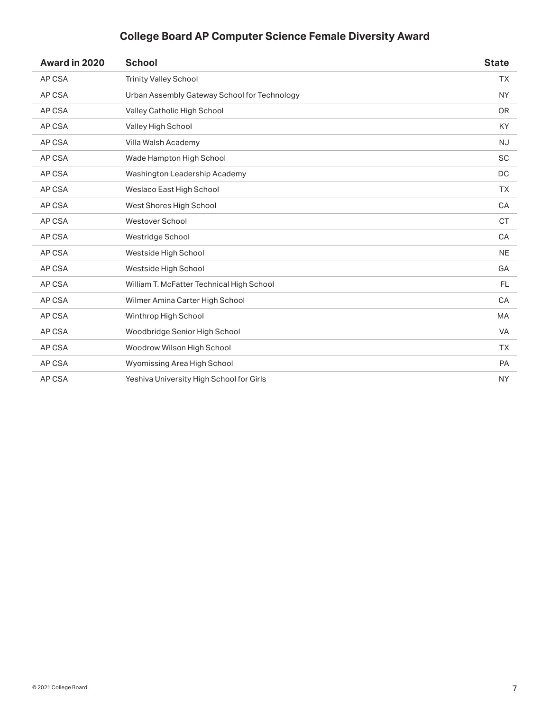| Award in 2020 | <b>School</b>                                | <b>State</b> |
|---------------|----------------------------------------------|--------------|
| AP CSA        | <b>Trinity Valley School</b>                 | <b>TX</b>    |
| AP CSA        | Urban Assembly Gateway School for Technology | <b>NY</b>    |
| AP CSA        | Valley Catholic High School                  | <b>OR</b>    |
| AP CSA        | Valley High School                           | KY           |
| AP CSA        | Villa Walsh Academy                          | <b>NJ</b>    |
| AP CSA        | Wade Hampton High School                     | <b>SC</b>    |
| AP CSA        | Washington Leadership Academy                | DC           |
| AP CSA        | Weslaco East High School                     | <b>TX</b>    |
| AP CSA        | West Shores High School                      | CA           |
| AP CSA        | <b>Westover School</b>                       | <b>CT</b>    |
| AP CSA        | Westridge School                             | CA           |
| AP CSA        | Westside High School                         | <b>NE</b>    |
| AP CSA        | Westside High School                         | GA           |
| AP CSA        | William T. McFatter Technical High School    | <b>FL</b>    |
| AP CSA        | Wilmer Amina Carter High School              | CA           |
| AP CSA        | Winthrop High School                         | <b>MA</b>    |
| AP CSA        | Woodbridge Senior High School                | <b>VA</b>    |
| AP CSA        | Woodrow Wilson High School                   | <b>TX</b>    |
| AP CSA        | Wyomissing Area High School                  | <b>PA</b>    |
| AP CSA        | Yeshiva University High School for Girls     | <b>NY</b>    |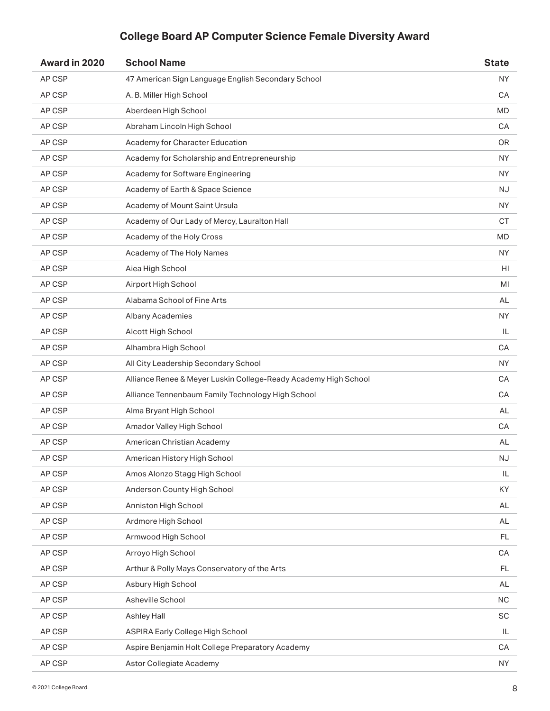| Award in 2020 | <b>School Name</b>                                              | <b>State</b>           |
|---------------|-----------------------------------------------------------------|------------------------|
| AP CSP        | 47 American Sign Language English Secondary School              | <b>NY</b>              |
| AP CSP        | A. B. Miller High School                                        | CA                     |
| AP CSP        | Aberdeen High School                                            | <b>MD</b>              |
| AP CSP        | Abraham Lincoln High School                                     | СA                     |
| AP CSP        | Academy for Character Education                                 | <b>OR</b>              |
| AP CSP        | Academy for Scholarship and Entrepreneurship                    | NY.                    |
| AP CSP        | Academy for Software Engineering                                | <b>NY</b>              |
| AP CSP        | Academy of Earth & Space Science                                | NJ                     |
| AP CSP        | Academy of Mount Saint Ursula                                   | <b>NY</b>              |
| AP CSP        | Academy of Our Lady of Mercy, Lauralton Hall                    | <b>CT</b>              |
| AP CSP        | Academy of the Holy Cross                                       | <b>MD</b>              |
| AP CSP        | Academy of The Holy Names                                       | <b>NY</b>              |
| AP CSP        | Aiea High School                                                | HI                     |
| AP CSP        | Airport High School                                             | MI                     |
| AP CSP        | Alabama School of Fine Arts                                     | AL                     |
| AP CSP        | <b>Albany Academies</b>                                         | <b>NY</b>              |
| AP CSP        | Alcott High School                                              | IL                     |
| AP CSP        | Alhambra High School                                            | CA                     |
| AP CSP        | All City Leadership Secondary School                            | <b>NY</b>              |
| AP CSP        | Alliance Renee & Meyer Luskin College-Ready Academy High School | CA                     |
| AP CSP        | Alliance Tennenbaum Family Technology High School               | СA                     |
| AP CSP        | Alma Bryant High School                                         | AL                     |
| AP CSP        | Amador Valley High School                                       | CA                     |
| AP CSP        | American Christian Academy                                      | AL                     |
| AP CSP        | American History High School                                    | $\mathsf{N}\mathsf{J}$ |
| AP CSP        | Amos Alonzo Stagg High School                                   | IL                     |
| AP CSP        | Anderson County High School                                     | KY.                    |
| AP CSP        | Anniston High School                                            | AL                     |
| AP CSP        | Ardmore High School                                             | AL                     |
| AP CSP        | Armwood High School                                             | FL.                    |
| AP CSP        | Arroyo High School                                              | CA                     |
| AP CSP        | Arthur & Polly Mays Conservatory of the Arts                    | FL.                    |
| AP CSP        | Asbury High School                                              | AL                     |
| AP CSP        | Asheville School                                                | $\sf NC$               |
| AP CSP        | Ashley Hall                                                     | SC                     |
| AP CSP        | <b>ASPIRA Early College High School</b>                         | IL.                    |
| AP CSP        | Aspire Benjamin Holt College Preparatory Academy                | CA                     |
| AP CSP        | Astor Collegiate Academy                                        | <b>NY</b>              |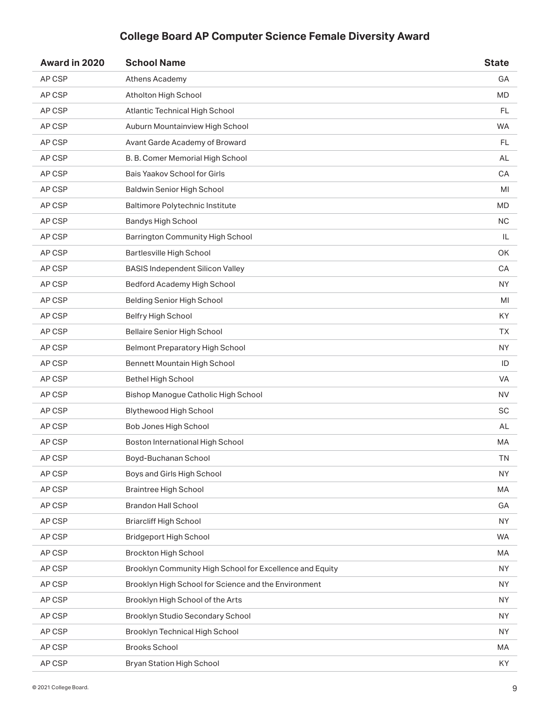| Award in 2020 | <b>School Name</b>                                       | <b>State</b> |
|---------------|----------------------------------------------------------|--------------|
| AP CSP        | Athens Academy                                           | GA           |
| AP CSP        | Atholton High School                                     | MD           |
| AP CSP        | Atlantic Technical High School                           | FL.          |
| AP CSP        | Auburn Mountainview High School                          | <b>WA</b>    |
| AP CSP        | Avant Garde Academy of Broward                           | FL.          |
| AP CSP        | B. B. Comer Memorial High School                         | AL           |
| AP CSP        | Bais Yaakov School for Girls                             | CA           |
| AP CSP        | <b>Baldwin Senior High School</b>                        | MI           |
| AP CSP        | Baltimore Polytechnic Institute                          | <b>MD</b>    |
| AP CSP        | <b>Bandys High School</b>                                | <b>NC</b>    |
| AP CSP        | <b>Barrington Community High School</b>                  | IL           |
| AP CSP        | Bartlesville High School                                 | <b>OK</b>    |
| AP CSP        | <b>BASIS Independent Silicon Valley</b>                  | CA           |
| AP CSP        | Bedford Academy High School                              | <b>NY</b>    |
| AP CSP        | <b>Belding Senior High School</b>                        | MI           |
| AP CSP        | Belfry High School                                       | KY           |
| AP CSP        | <b>Bellaire Senior High School</b>                       | TХ           |
| AP CSP        | <b>Belmont Preparatory High School</b>                   | <b>NY</b>    |
| AP CSP        | Bennett Mountain High School                             | ID           |
| AP CSP        | <b>Bethel High School</b>                                | VA           |
| AP CSP        | Bishop Manogue Catholic High School                      | NV.          |
| AP CSP        | Blythewood High School                                   | SC           |
| AP CSP        | Bob Jones High School                                    | AL           |
| AP CSP        | Boston International High School                         | МA           |
| AP CSP        | Boyd-Buchanan School                                     | TN           |
| AP CSP        | Boys and Girls High School                               | <b>NY</b>    |
| AP CSP        | <b>Braintree High School</b>                             | MA           |
| AP CSP        | <b>Brandon Hall School</b>                               | GA           |
| AP CSP        | <b>Briarcliff High School</b>                            | <b>NY</b>    |
| AP CSP        | <b>Bridgeport High School</b>                            | <b>WA</b>    |
| AP CSP        | <b>Brockton High School</b>                              | MA           |
| AP CSP        | Brooklyn Community High School for Excellence and Equity | <b>NY</b>    |
| AP CSP        | Brooklyn High School for Science and the Environment     | <b>NY</b>    |
| AP CSP        | Brooklyn High School of the Arts                         | <b>NY</b>    |
| AP CSP        | Brooklyn Studio Secondary School                         | NY.          |
| AP CSP        | Brooklyn Technical High School                           | <b>NY</b>    |
| AP CSP        | <b>Brooks School</b>                                     | МA           |
| AP CSP        | Bryan Station High School                                | KY           |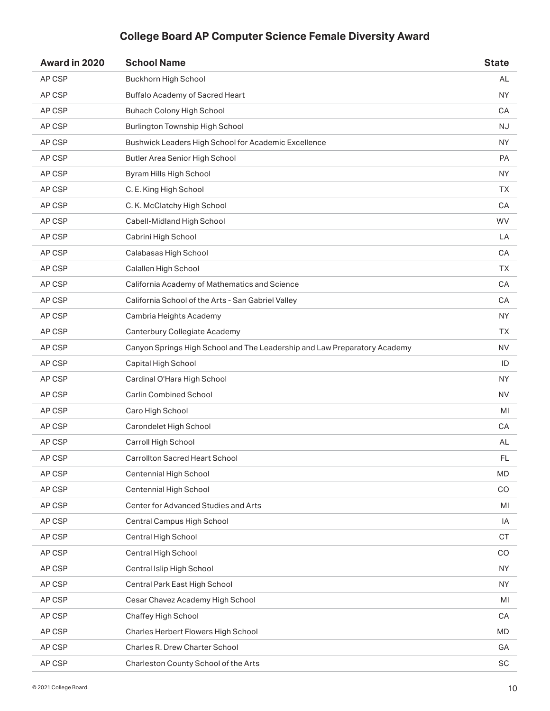| Award in 2020 | <b>School Name</b>                                                        | <b>State</b> |
|---------------|---------------------------------------------------------------------------|--------------|
| AP CSP        | <b>Buckhorn High School</b>                                               | AL           |
| AP CSP        | <b>Buffalo Academy of Sacred Heart</b>                                    | NY.          |
| AP CSP        | Buhach Colony High School                                                 | CA           |
| AP CSP        | Burlington Township High School                                           | <b>NJ</b>    |
| AP CSP        | Bushwick Leaders High School for Academic Excellence                      | <b>NY</b>    |
| AP CSP        | Butler Area Senior High School                                            | <b>PA</b>    |
| AP CSP        | Byram Hills High School                                                   | <b>NY</b>    |
| AP CSP        | C. E. King High School                                                    | TХ           |
| AP CSP        | C. K. McClatchy High School                                               | CA           |
| AP CSP        | Cabell-Midland High School                                                | <b>WV</b>    |
| AP CSP        | Cabrini High School                                                       | LA           |
| AP CSP        | Calabasas High School                                                     | CA           |
| AP CSP        | Calallen High School                                                      | TΧ.          |
| AP CSP        | California Academy of Mathematics and Science                             | CA           |
| AP CSP        | California School of the Arts - San Gabriel Valley                        | CA           |
| AP CSP        | Cambria Heights Academy                                                   | <b>NY</b>    |
| AP CSP        | Canterbury Collegiate Academy                                             | ТX           |
| AP CSP        | Canyon Springs High School and The Leadership and Law Preparatory Academy | <b>NV</b>    |
| AP CSP        | Capital High School                                                       | ID           |
| AP CSP        | Cardinal O'Hara High School                                               | <b>NY</b>    |
| AP CSP        | <b>Carlin Combined School</b>                                             | NV.          |
| AP CSP        | Caro High School                                                          | MI           |
| AP CSP        | Carondelet High School                                                    | СA           |
| AP CSP        | Carroll High School                                                       | AL           |
| AP CSP        | Carrollton Sacred Heart School                                            | FL           |
| AP CSP        | Centennial High School                                                    | <b>MD</b>    |
| AP CSP        | Centennial High School                                                    | CO           |
| AP CSP        | Center for Advanced Studies and Arts                                      | MI           |
| AP CSP        | Central Campus High School                                                | IA           |
| AP CSP        | Central High School                                                       | CT           |
| AP CSP        | Central High School                                                       | CO           |
| AP CSP        | Central Islip High School                                                 | <b>NY</b>    |
| AP CSP        | Central Park East High School                                             | <b>NY</b>    |
| AP CSP        | Cesar Chavez Academy High School                                          | MI           |
| AP CSP        | Chaffey High School                                                       | CA           |
| AP CSP        | Charles Herbert Flowers High School                                       | <b>MD</b>    |
| AP CSP        | Charles R. Drew Charter School                                            | GA           |
| AP CSP        | Charleston County School of the Arts                                      | SC           |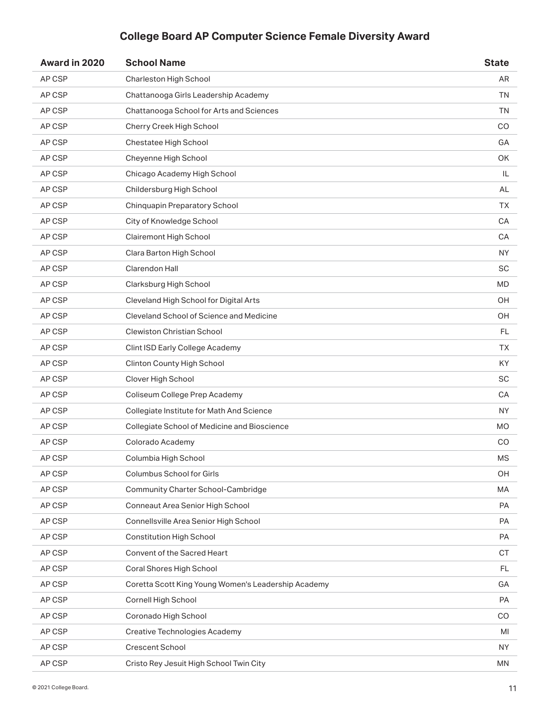| Award in 2020 | <b>School Name</b>                                  | <b>State</b> |
|---------------|-----------------------------------------------------|--------------|
| AP CSP        | Charleston High School                              | AR.          |
| AP CSP        | Chattanooga Girls Leadership Academy                | <b>TN</b>    |
| AP CSP        | Chattanooga School for Arts and Sciences            | <b>TN</b>    |
| AP CSP        | Cherry Creek High School                            | CO           |
| AP CSP        | Chestatee High School                               | GA           |
| AP CSP        | Cheyenne High School                                | OK.          |
| AP CSP        | Chicago Academy High School                         | IL           |
| AP CSP        | Childersburg High School                            | AL           |
| AP CSP        | Chinquapin Preparatory School                       | TΧ.          |
| AP CSP        | City of Knowledge School                            | CA           |
| AP CSP        | Clairemont High School                              | CA           |
| AP CSP        | Clara Barton High School                            | <b>NY</b>    |
| AP CSP        | Clarendon Hall                                      | <b>SC</b>    |
| AP CSP        | Clarksburg High School                              | <b>MD</b>    |
| AP CSP        | Cleveland High School for Digital Arts              | OH           |
| AP CSP        | Cleveland School of Science and Medicine            | OH           |
| AP CSP        | <b>Clewiston Christian School</b>                   | FL.          |
| AP CSP        | Clint ISD Early College Academy                     | <b>TX</b>    |
| AP CSP        | Clinton County High School                          | KY.          |
| AP CSP        | Clover High School                                  | <b>SC</b>    |
| AP CSP        | Coliseum College Prep Academy                       | СA           |
| AP CSP        | Collegiate Institute for Math And Science           | <b>NY</b>    |
| AP CSP        | Collegiate School of Medicine and Bioscience        | MO           |
| AP CSP        | Colorado Academy                                    | CO           |
| AP CSP        | Columbia High School                                | <b>MS</b>    |
| AP CSP        | Columbus School for Girls                           | OH           |
| AP CSP        | Community Charter School-Cambridge                  | MA           |
| AP CSP        | Conneaut Area Senior High School                    | PA           |
| AP CSP        | Connellsville Area Senior High School               | PA           |
| AP CSP        | <b>Constitution High School</b>                     | PA           |
| AP CSP        | Convent of the Sacred Heart                         | <b>CT</b>    |
| AP CSP        | Coral Shores High School                            | FL           |
| AP CSP        | Coretta Scott King Young Women's Leadership Academy | GA           |
| AP CSP        | Cornell High School                                 | PA           |
| AP CSP        | Coronado High School                                | CO.          |
| AP CSP        | <b>Creative Technologies Academy</b>                | MI           |
| AP CSP        | <b>Crescent School</b>                              | NY.          |
| AP CSP        | Cristo Rey Jesuit High School Twin City             | <b>MN</b>    |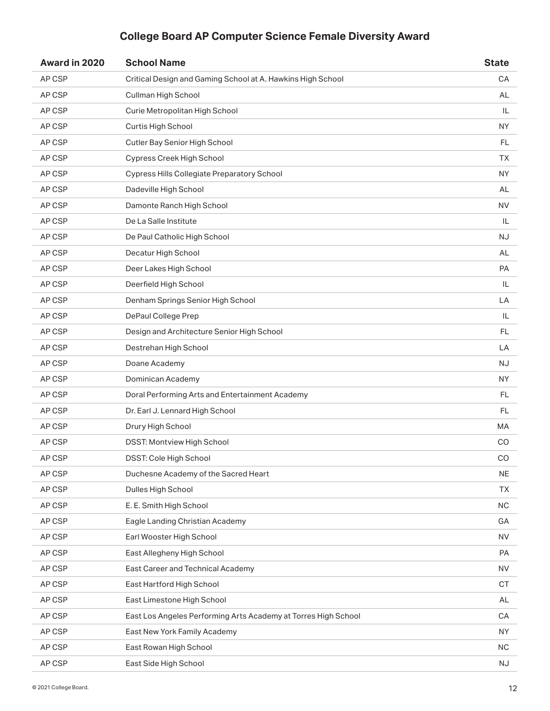| Award in 2020 | <b>School Name</b>                                             | <b>State</b> |
|---------------|----------------------------------------------------------------|--------------|
| AP CSP        | Critical Design and Gaming School at A. Hawkins High School    | CA           |
| AP CSP        | Cullman High School                                            | AL           |
| AP CSP        | Curie Metropolitan High School                                 | IL           |
| AP CSP        | Curtis High School                                             | NY.          |
| AP CSP        | Cutler Bay Senior High School                                  | FL           |
| AP CSP        | Cypress Creek High School                                      | ТX           |
| AP CSP        | <b>Cypress Hills Collegiate Preparatory School</b>             | <b>NY</b>    |
| AP CSP        | Dadeville High School                                          | AL           |
| AP CSP        | Damonte Ranch High School                                      | <b>NV</b>    |
| AP CSP        | De La Salle Institute                                          | IL           |
| AP CSP        | De Paul Catholic High School                                   | <b>NJ</b>    |
| AP CSP        | Decatur High School                                            | AL           |
| AP CSP        | Deer Lakes High School                                         | <b>PA</b>    |
| AP CSP        | Deerfield High School                                          | IL           |
| AP CSP        | Denham Springs Senior High School                              | LA           |
| AP CSP        | DePaul College Prep                                            | IL           |
| AP CSP        | Design and Architecture Senior High School                     | <b>FL</b>    |
| AP CSP        | Destrehan High School                                          | LA           |
| AP CSP        | Doane Academy                                                  | <b>NJ</b>    |
| AP CSP        | Dominican Academy                                              | <b>NY</b>    |
| AP CSP        | Doral Performing Arts and Entertainment Academy                | FL.          |
| AP CSP        | Dr. Earl J. Lennard High School                                | FL.          |
| AP CSP        | Drury High School                                              | МA           |
| AP CSP        | DSST: Montview High School                                     | CO           |
| AP CSP        | DSST: Cole High School                                         | CO           |
| AP CSP        | Duchesne Academy of the Sacred Heart                           | <b>NE</b>    |
| AP CSP        | Dulles High School                                             | <b>TX</b>    |
| AP CSP        | E. E. Smith High School                                        | <b>NC</b>    |
| AP CSP        | Eagle Landing Christian Academy                                | GA           |
| AP CSP        | Earl Wooster High School                                       | <b>NV</b>    |
| AP CSP        | East Allegheny High School                                     | PA           |
| AP CSP        | East Career and Technical Academy                              | <b>NV</b>    |
| AP CSP        | East Hartford High School                                      | <b>CT</b>    |
| AP CSP        | East Limestone High School                                     | AL           |
| AP CSP        | East Los Angeles Performing Arts Academy at Torres High School | CA           |
| AP CSP        | East New York Family Academy                                   | <b>NY</b>    |
| AP CSP        | East Rowan High School                                         | <b>NC</b>    |
| AP CSP        | East Side High School                                          | NJ           |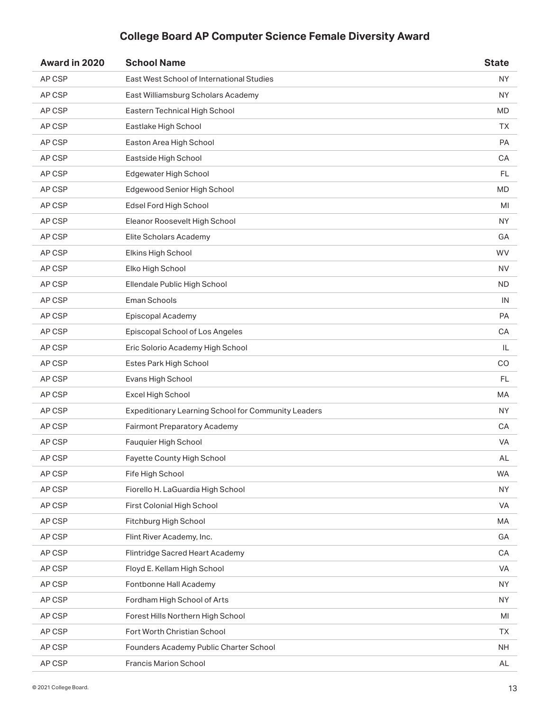| Award in 2020 | <b>School Name</b>                                  | <b>State</b> |
|---------------|-----------------------------------------------------|--------------|
| AP CSP        | East West School of International Studies           | <b>NY</b>    |
| AP CSP        | East Williamsburg Scholars Academy                  | <b>NY</b>    |
| AP CSP        | Eastern Technical High School                       | <b>MD</b>    |
| AP CSP        | Eastlake High School                                | <b>TX</b>    |
| AP CSP        | Easton Area High School                             | PA           |
| AP CSP        | Eastside High School                                | CA           |
| AP CSP        | Edgewater High School                               | FL           |
| AP CSP        | Edgewood Senior High School                         | <b>MD</b>    |
| AP CSP        | Edsel Ford High School                              | MI           |
| AP CSP        | Eleanor Roosevelt High School                       | ΝY           |
| AP CSP        | Elite Scholars Academy                              | GA           |
| AP CSP        | Elkins High School                                  | <b>WV</b>    |
| AP CSP        | Elko High School                                    | <b>NV</b>    |
| AP CSP        | Ellendale Public High School                        | ND.          |
| AP CSP        | Eman Schools                                        | IN           |
| AP CSP        | Episcopal Academy                                   | PA           |
| AP CSP        | Episcopal School of Los Angeles                     | CA           |
| AP CSP        | Eric Solorio Academy High School                    | IL           |
| AP CSP        | Estes Park High School                              | CO           |
| AP CSP        | Evans High School                                   | <b>FL</b>    |
| AP CSP        | Excel High School                                   | МA           |
| AP CSP        | Expeditionary Learning School for Community Leaders | <b>NY</b>    |
| AP CSP        | <b>Fairmont Preparatory Academy</b>                 | CA           |
| AP CSP        | Fauquier High School                                | VA           |
| AP CSP        | Fayette County High School                          | AL           |
| AP CSP        | Fife High School                                    | <b>WA</b>    |
| AP CSP        | Fiorello H. LaGuardia High School                   | <b>NY</b>    |
| AP CSP        | First Colonial High School                          | <b>VA</b>    |
| AP CSP        | Fitchburg High School                               | MA           |
| AP CSP        | Flint River Academy, Inc.                           | GA           |
| AP CSP        | Flintridge Sacred Heart Academy                     | CA           |
| AP CSP        | Floyd E. Kellam High School                         | VA           |
| AP CSP        | Fontbonne Hall Academy                              | <b>NY</b>    |
| AP CSP        | Fordham High School of Arts                         | <b>NY</b>    |
| AP CSP        | Forest Hills Northern High School                   | MI           |
| AP CSP        | Fort Worth Christian School                         | <b>TX</b>    |
| AP CSP        | Founders Academy Public Charter School              | <b>NH</b>    |
| AP CSP        | <b>Francis Marion School</b>                        | AL           |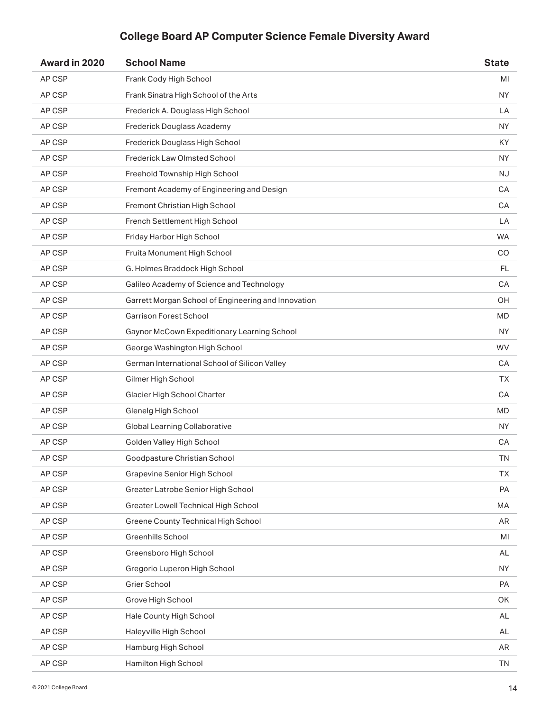| Award in 2020 | <b>School Name</b>                                  | <b>State</b> |
|---------------|-----------------------------------------------------|--------------|
| AP CSP        | Frank Cody High School                              | MI           |
| AP CSP        | Frank Sinatra High School of the Arts               | NY.          |
| AP CSP        | Frederick A. Douglass High School                   | LA           |
| AP CSP        | Frederick Douglass Academy                          | NY.          |
| AP CSP        | Frederick Douglass High School                      | KY           |
| AP CSP        | Frederick Law Olmsted School                        | NY.          |
| AP CSP        | Freehold Township High School                       | <b>NJ</b>    |
| AP CSP        | Fremont Academy of Engineering and Design           | СA           |
| AP CSP        | Fremont Christian High School                       | CA           |
| AP CSP        | French Settlement High School                       | LA           |
| AP CSP        | Friday Harbor High School                           | <b>WA</b>    |
| AP CSP        | Fruita Monument High School                         | CO           |
| AP CSP        | G. Holmes Braddock High School                      | FL           |
| AP CSP        | Galileo Academy of Science and Technology           | CA           |
| AP CSP        | Garrett Morgan School of Engineering and Innovation | OH           |
| AP CSP        | <b>Garrison Forest School</b>                       | <b>MD</b>    |
| AP CSP        | Gaynor McCown Expeditionary Learning School         | NY.          |
| AP CSP        | George Washington High School                       | <b>WV</b>    |
| AP CSP        | German International School of Silicon Valley       | СA           |
| AP CSP        | Gilmer High School                                  | <b>TX</b>    |
| AP CSP        | Glacier High School Charter                         | СA           |
| AP CSP        | Glenelg High School                                 | <b>MD</b>    |
| AP CSP        | <b>Global Learning Collaborative</b>                | NY.          |
| AP CSP        | Golden Valley High School                           | CA           |
| AP CSP        | Goodpasture Christian School                        | TN           |
| AP CSP        | Grapevine Senior High School                        | <b>TX</b>    |
| AP CSP        | Greater Latrobe Senior High School                  | PA           |
| AP CSP        | Greater Lowell Technical High School                | МA           |
| AP CSP        | Greene County Technical High School                 | AR           |
| AP CSP        | Greenhills School                                   | MI           |
| AP CSP        | Greensboro High School                              | AL           |
| AP CSP        | Gregorio Luperon High School                        | <b>NY</b>    |
| AP CSP        | Grier School                                        | PA           |
| AP CSP        | Grove High School                                   | OK           |
| AP CSP        | Hale County High School                             | AL           |
| AP CSP        | Haleyville High School                              | AL           |
| AP CSP        | Hamburg High School                                 | AR           |
| AP CSP        | Hamilton High School                                | TN           |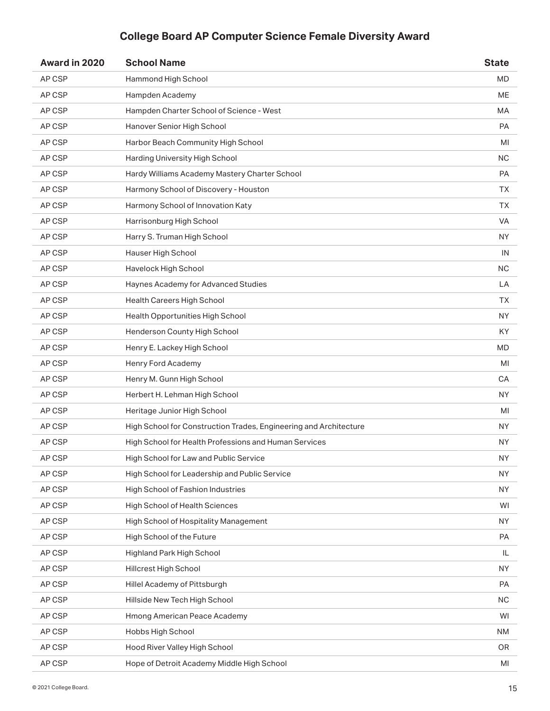| Award in 2020 | <b>School Name</b>                                                | <b>State</b> |
|---------------|-------------------------------------------------------------------|--------------|
| AP CSP        | Hammond High School                                               | <b>MD</b>    |
| AP CSP        | Hampden Academy                                                   | ME           |
| AP CSP        | Hampden Charter School of Science - West                          | MA           |
| AP CSP        | Hanover Senior High School                                        | <b>PA</b>    |
| AP CSP        | Harbor Beach Community High School                                | MI           |
| AP CSP        | Harding University High School                                    | NC.          |
| AP CSP        | Hardy Williams Academy Mastery Charter School                     | PA           |
| AP CSP        | Harmony School of Discovery - Houston                             | TХ           |
| AP CSP        | Harmony School of Innovation Katy                                 | ТX           |
| AP CSP        | Harrisonburg High School                                          | <b>VA</b>    |
| AP CSP        | Harry S. Truman High School                                       | <b>NY</b>    |
| AP CSP        | Hauser High School                                                | IN           |
| AP CSP        | Havelock High School                                              | <b>NC</b>    |
| AP CSP        | Haynes Academy for Advanced Studies                               | LA           |
| AP CSP        | Health Careers High School                                        | ТX           |
| AP CSP        | Health Opportunities High School                                  | <b>NY</b>    |
| AP CSP        | Henderson County High School                                      | KY           |
| AP CSP        | Henry E. Lackey High School                                       | <b>MD</b>    |
| AP CSP        | Henry Ford Academy                                                | MI           |
| AP CSP        | Henry M. Gunn High School                                         | CA           |
| AP CSP        | Herbert H. Lehman High School                                     | NY.          |
| AP CSP        | Heritage Junior High School                                       | MI           |
| AP CSP        | High School for Construction Trades, Engineering and Architecture | NY.          |
| AP CSP        | High School for Health Professions and Human Services             | NY.          |
| AP CSP        | High School for Law and Public Service                            | <b>NY</b>    |
| AP CSP        | High School for Leadership and Public Service                     | <b>NY</b>    |
| AP CSP        | High School of Fashion Industries                                 | NY.          |
| AP CSP        | <b>High School of Health Sciences</b>                             | WI           |
| AP CSP        | High School of Hospitality Management                             | NY.          |
| AP CSP        | High School of the Future                                         | PA           |
| AP CSP        | Highland Park High School                                         | IL.          |
| AP CSP        | Hillcrest High School                                             | <b>NY</b>    |
| AP CSP        | Hillel Academy of Pittsburgh                                      | PA           |
| AP CSP        | Hillside New Tech High School                                     | <b>NC</b>    |
| AP CSP        | Hmong American Peace Academy                                      | WI           |
| AP CSP        | Hobbs High School                                                 | <b>NM</b>    |
| AP CSP        | Hood River Valley High School                                     | OR.          |
| AP CSP        | Hope of Detroit Academy Middle High School                        | MI           |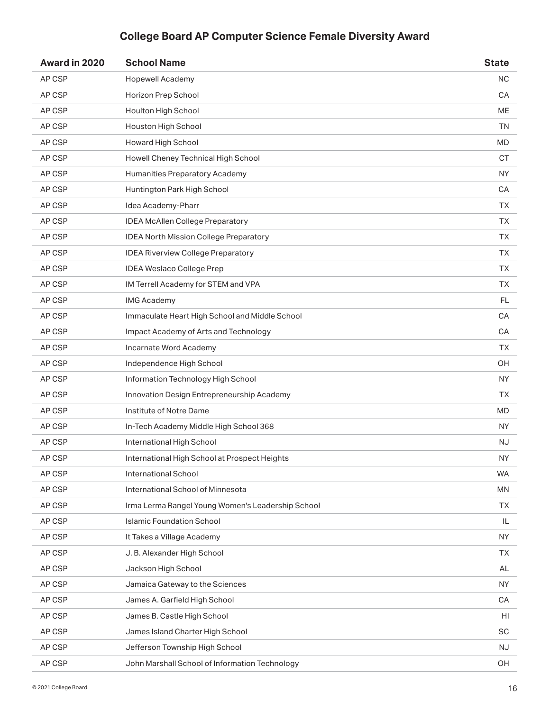| Award in 2020 | <b>School Name</b>                                | <b>State</b> |
|---------------|---------------------------------------------------|--------------|
| AP CSP        | <b>Hopewell Academy</b>                           | <b>NC</b>    |
| AP CSP        | Horizon Prep School                               | CA           |
| AP CSP        | Houlton High School                               | <b>ME</b>    |
| AP CSP        | Houston High School                               | <b>TN</b>    |
| AP CSP        | Howard High School                                | <b>MD</b>    |
| AP CSP        | Howell Cheney Technical High School               | СT           |
| AP CSP        | Humanities Preparatory Academy                    | <b>NY</b>    |
| AP CSP        | Huntington Park High School                       | СA           |
| AP CSP        | Idea Academy-Pharr                                | <b>TX</b>    |
| AP CSP        | <b>IDEA McAllen College Preparatory</b>           | TХ           |
| AP CSP        | IDEA North Mission College Preparatory            | <b>TX</b>    |
| AP CSP        | <b>IDEA Riverview College Preparatory</b>         | <b>TX</b>    |
| AP CSP        | <b>IDEA Weslaco College Prep</b>                  | TΧ.          |
| AP CSP        | IM Terrell Academy for STEM and VPA               | ТX           |
| AP CSP        | <b>IMG Academy</b>                                | <b>FL</b>    |
| AP CSP        | Immaculate Heart High School and Middle School    | CA           |
| AP CSP        | Impact Academy of Arts and Technology             | CA           |
| AP CSP        | Incarnate Word Academy                            | <b>TX</b>    |
| AP CSP        | Independence High School                          | OH           |
| AP CSP        | Information Technology High School                | <b>NY</b>    |
| AP CSP        | Innovation Design Entrepreneurship Academy        | ТX           |
| AP CSP        | Institute of Notre Dame                           | MD           |
| AP CSP        | In-Tech Academy Middle High School 368            | NY.          |
| AP CSP        | International High School                         | <b>NJ</b>    |
| AP CSP        | International High School at Prospect Heights     | <b>NY</b>    |
| AP CSP        | <b>International School</b>                       | <b>WA</b>    |
| AP CSP        | International School of Minnesota                 | MN           |
| AP CSP        | Irma Lerma Rangel Young Women's Leadership School | <b>TX</b>    |
| AP CSP        | <b>Islamic Foundation School</b>                  | IL           |
| AP CSP        | It Takes a Village Academy                        | <b>NY</b>    |
| AP CSP        | J. B. Alexander High School                       | <b>TX</b>    |
| AP CSP        | Jackson High School                               | AL           |
| AP CSP        | Jamaica Gateway to the Sciences                   | NY.          |
| AP CSP        | James A. Garfield High School                     | CA           |
| AP CSP        | James B. Castle High School                       | HI           |
| AP CSP        | James Island Charter High School                  | <b>SC</b>    |
| AP CSP        | Jefferson Township High School                    | NJ.          |
| AP CSP        | John Marshall School of Information Technology    | OH           |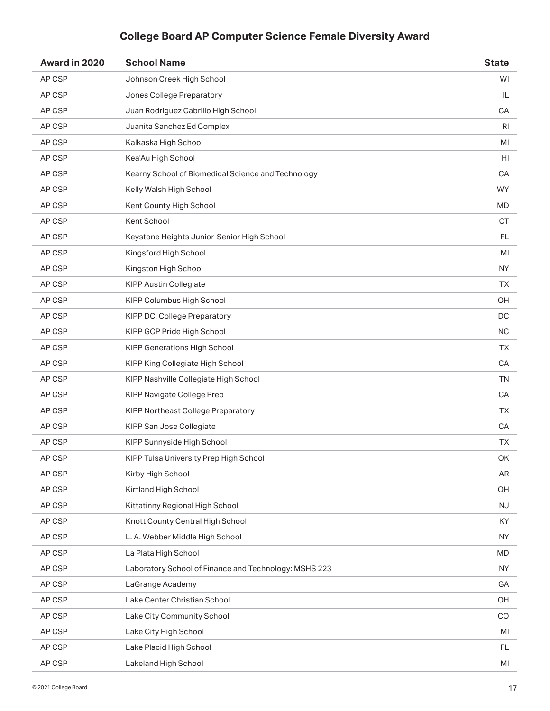| Award in 2020 | <b>School Name</b>                                    | <b>State</b> |
|---------------|-------------------------------------------------------|--------------|
| AP CSP        | Johnson Creek High School                             | WI           |
| AP CSP        | Jones College Preparatory                             | IL           |
| AP CSP        | Juan Rodriguez Cabrillo High School                   | CA           |
| AP CSP        | Juanita Sanchez Ed Complex                            | RI           |
| AP CSP        | Kalkaska High School                                  | MI           |
| AP CSP        | Kea'Au High School                                    | HI           |
| AP CSP        | Kearny School of Biomedical Science and Technology    | CA           |
| AP CSP        | Kelly Walsh High School                               | <b>WY</b>    |
| AP CSP        | Kent County High School                               | <b>MD</b>    |
| AP CSP        | Kent School                                           | <b>CT</b>    |
| AP CSP        | Keystone Heights Junior-Senior High School            | <b>FL</b>    |
| AP CSP        | Kingsford High School                                 | MI           |
| AP CSP        | Kingston High School                                  | <b>NY</b>    |
| AP CSP        | <b>KIPP Austin Collegiate</b>                         | <b>TX</b>    |
| AP CSP        | KIPP Columbus High School                             | OH           |
| AP CSP        | KIPP DC: College Preparatory                          | DC           |
| AP CSP        | KIPP GCP Pride High School                            | <b>NC</b>    |
| AP CSP        | KIPP Generations High School                          | <b>TX</b>    |
| AP CSP        | KIPP King Collegiate High School                      | CA           |
| AP CSP        | KIPP Nashville Collegiate High School                 | <b>TN</b>    |
| AP CSP        | KIPP Navigate College Prep                            | CA           |
| AP CSP        | KIPP Northeast College Preparatory                    | <b>TX</b>    |
| AP CSP        | KIPP San Jose Collegiate                              | CA           |
| AP CSP        | KIPP Sunnyside High School                            | <b>TX</b>    |
| AP CSP        | KIPP Tulsa University Prep High School                | OK           |
| AP CSP        | Kirby High School                                     | AR           |
| AP CSP        | Kirtland High School                                  | OH           |
| AP CSP        | Kittatinny Regional High School                       | <b>NJ</b>    |
| AP CSP        | Knott County Central High School                      | KY           |
| AP CSP        | L. A. Webber Middle High School                       | <b>NY</b>    |
| AP CSP        | La Plata High School                                  | <b>MD</b>    |
| AP CSP        | Laboratory School of Finance and Technology: MSHS 223 | <b>NY</b>    |
| AP CSP        | LaGrange Academy                                      | GA           |
| AP CSP        | Lake Center Christian School                          | OH           |
| AP CSP        | Lake City Community School                            | CO           |
| AP CSP        | Lake City High School                                 | MI           |
| AP CSP        | Lake Placid High School                               | FL           |
| AP CSP        | Lakeland High School                                  | MI           |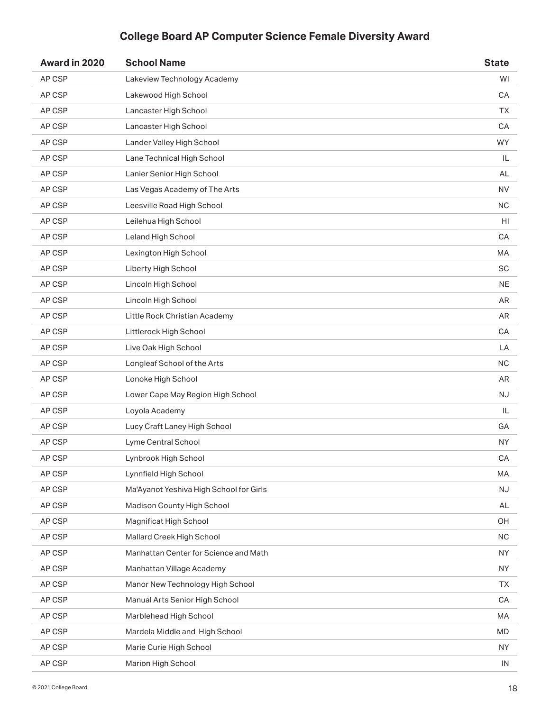| Award in 2020 | <b>School Name</b>                      | <b>State</b> |
|---------------|-----------------------------------------|--------------|
| AP CSP        | Lakeview Technology Academy             | WI           |
| AP CSP        | Lakewood High School                    | CA           |
| AP CSP        | Lancaster High School                   | <b>TX</b>    |
| AP CSP        | Lancaster High School                   | CA           |
| AP CSP        | Lander Valley High School               | <b>WY</b>    |
| AP CSP        | Lane Technical High School              | IL           |
| AP CSP        | Lanier Senior High School               | AL           |
| AP CSP        | Las Vegas Academy of The Arts           | <b>NV</b>    |
| AP CSP        | Leesville Road High School              | <b>NC</b>    |
| AP CSP        | Leilehua High School                    | HI           |
| AP CSP        | Leland High School                      | CA           |
| AP CSP        | Lexington High School                   | MA           |
| AP CSP        | Liberty High School                     | <b>SC</b>    |
| AP CSP        | Lincoln High School                     | <b>NE</b>    |
| AP CSP        | Lincoln High School                     | AR           |
| AP CSP        | Little Rock Christian Academy           | AR           |
| AP CSP        | Littlerock High School                  | CA           |
| AP CSP        | Live Oak High School                    | LA           |
| AP CSP        | Longleaf School of the Arts             | <b>NC</b>    |
| AP CSP        | Lonoke High School                      | AR           |
| AP CSP        | Lower Cape May Region High School       | NJ.          |
| AP CSP        | Loyola Academy                          | IL           |
| AP CSP        | Lucy Craft Laney High School            | GA           |
| AP CSP        | Lyme Central School                     | NY.          |
| AP CSP        | Lynbrook High School                    | CA           |
| AP CSP        | Lynnfield High School                   | MA           |
| AP CSP        | Ma'Ayanot Yeshiva High School for Girls | NJ           |
| AP CSP        | Madison County High School              | AL           |
| AP CSP        | Magnificat High School                  | OH           |
| AP CSP        | Mallard Creek High School               | <b>NC</b>    |
| AP CSP        | Manhattan Center for Science and Math   | <b>NY</b>    |
| AP CSP        | Manhattan Village Academy               | <b>NY</b>    |
| AP CSP        | Manor New Technology High School        | <b>TX</b>    |
| AP CSP        | Manual Arts Senior High School          | CA           |
| AP CSP        | Marblehead High School                  | MA           |
| AP CSP        | Mardela Middle and High School          | <b>MD</b>    |
| AP CSP        | Marie Curie High School                 | <b>NY</b>    |
| AP CSP        | Marion High School                      | IN           |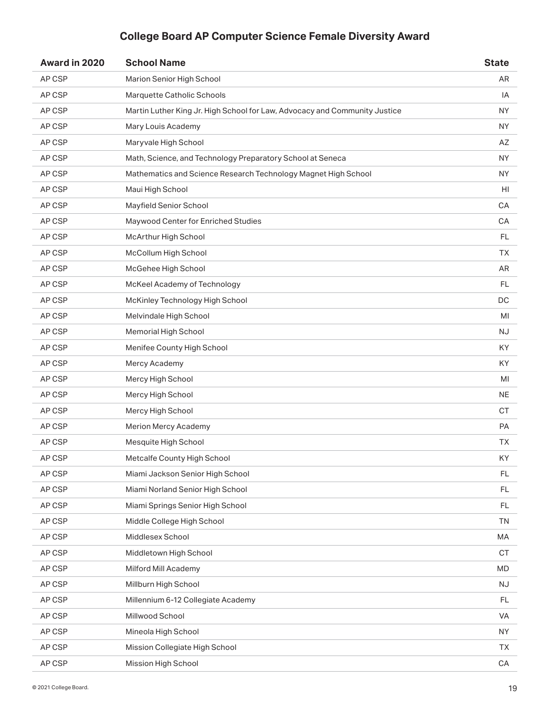| AP CSP<br>Marion Senior High School<br>AR<br>Marquette Catholic Schools<br>AP CSP<br>IA<br>Martin Luther King Jr. High School for Law, Advocacy and Community Justice<br>AP CSP<br><b>NY</b><br>AP CSP<br>Mary Louis Academy<br><b>NY</b><br>AP CSP<br>Maryvale High School<br>AZ<br>Math, Science, and Technology Preparatory School at Seneca<br>AP CSP<br>ΝY<br>AP CSP<br>Mathematics and Science Research Technology Magnet High School<br>ΝY<br>AP CSP<br>Maui High School<br>HI<br>AP CSP<br>Mayfield Senior School<br>CA<br>AP CSP<br>Maywood Center for Enriched Studies<br>CA<br><b>FL</b><br>AP CSP<br>McArthur High School<br>AP CSP<br>McCollum High School<br><b>TX</b><br>AP CSP<br>McGehee High School<br>AR<br>AP CSP<br>McKeel Academy of Technology<br>FL<br>AP CSP<br>DC<br>McKinley Technology High School<br>AP CSP<br>Melvindale High School<br>MI<br>AP CSP<br>Memorial High School<br><b>NJ</b><br>AP CSP<br>Menifee County High School<br>KY<br>AP CSP<br>Mercy Academy<br>KY<br>AP CSP<br>Mercy High School<br>MI<br>AP CSP<br>Mercy High School<br>NE<br>AP CSP<br>Mercy High School<br><b>CT</b><br>AP CSP<br>Merion Mercy Academy<br>PA<br>AP CSP<br>Mesquite High School<br><b>TX</b><br>AP CSP<br>Metcalfe County High School<br>KY<br>AP CSP<br>Miami Jackson Senior High School<br>FL.<br>AP CSP<br>Miami Norland Senior High School<br>FL.<br>AP CSP<br>Miami Springs Senior High School<br>FL<br>AP CSP<br>Middle College High School<br><b>TN</b><br>AP CSP<br>Middlesex School<br>MA<br>AP CSP<br>Middletown High School<br><b>CT</b><br>AP CSP<br>Milford Mill Academy<br><b>MD</b><br>AP CSP<br>Millburn High School<br><b>NJ</b><br>AP CSP<br>Millennium 6-12 Collegiate Academy<br>FL<br>AP CSP<br>Millwood School<br>VA<br>AP CSP<br>Mineola High School<br><b>NY</b><br>AP CSP<br>Mission Collegiate High School<br><b>TX</b><br>AP CSP<br>Mission High School<br>CA | Award in 2020 | <b>School Name</b> | <b>State</b> |
|-----------------------------------------------------------------------------------------------------------------------------------------------------------------------------------------------------------------------------------------------------------------------------------------------------------------------------------------------------------------------------------------------------------------------------------------------------------------------------------------------------------------------------------------------------------------------------------------------------------------------------------------------------------------------------------------------------------------------------------------------------------------------------------------------------------------------------------------------------------------------------------------------------------------------------------------------------------------------------------------------------------------------------------------------------------------------------------------------------------------------------------------------------------------------------------------------------------------------------------------------------------------------------------------------------------------------------------------------------------------------------------------------------------------------------------------------------------------------------------------------------------------------------------------------------------------------------------------------------------------------------------------------------------------------------------------------------------------------------------------------------------------------------------------------------------------------------------------------------------------------------------------------------------------|---------------|--------------------|--------------|
|                                                                                                                                                                                                                                                                                                                                                                                                                                                                                                                                                                                                                                                                                                                                                                                                                                                                                                                                                                                                                                                                                                                                                                                                                                                                                                                                                                                                                                                                                                                                                                                                                                                                                                                                                                                                                                                                                                                 |               |                    |              |
|                                                                                                                                                                                                                                                                                                                                                                                                                                                                                                                                                                                                                                                                                                                                                                                                                                                                                                                                                                                                                                                                                                                                                                                                                                                                                                                                                                                                                                                                                                                                                                                                                                                                                                                                                                                                                                                                                                                 |               |                    |              |
|                                                                                                                                                                                                                                                                                                                                                                                                                                                                                                                                                                                                                                                                                                                                                                                                                                                                                                                                                                                                                                                                                                                                                                                                                                                                                                                                                                                                                                                                                                                                                                                                                                                                                                                                                                                                                                                                                                                 |               |                    |              |
|                                                                                                                                                                                                                                                                                                                                                                                                                                                                                                                                                                                                                                                                                                                                                                                                                                                                                                                                                                                                                                                                                                                                                                                                                                                                                                                                                                                                                                                                                                                                                                                                                                                                                                                                                                                                                                                                                                                 |               |                    |              |
|                                                                                                                                                                                                                                                                                                                                                                                                                                                                                                                                                                                                                                                                                                                                                                                                                                                                                                                                                                                                                                                                                                                                                                                                                                                                                                                                                                                                                                                                                                                                                                                                                                                                                                                                                                                                                                                                                                                 |               |                    |              |
|                                                                                                                                                                                                                                                                                                                                                                                                                                                                                                                                                                                                                                                                                                                                                                                                                                                                                                                                                                                                                                                                                                                                                                                                                                                                                                                                                                                                                                                                                                                                                                                                                                                                                                                                                                                                                                                                                                                 |               |                    |              |
|                                                                                                                                                                                                                                                                                                                                                                                                                                                                                                                                                                                                                                                                                                                                                                                                                                                                                                                                                                                                                                                                                                                                                                                                                                                                                                                                                                                                                                                                                                                                                                                                                                                                                                                                                                                                                                                                                                                 |               |                    |              |
|                                                                                                                                                                                                                                                                                                                                                                                                                                                                                                                                                                                                                                                                                                                                                                                                                                                                                                                                                                                                                                                                                                                                                                                                                                                                                                                                                                                                                                                                                                                                                                                                                                                                                                                                                                                                                                                                                                                 |               |                    |              |
|                                                                                                                                                                                                                                                                                                                                                                                                                                                                                                                                                                                                                                                                                                                                                                                                                                                                                                                                                                                                                                                                                                                                                                                                                                                                                                                                                                                                                                                                                                                                                                                                                                                                                                                                                                                                                                                                                                                 |               |                    |              |
|                                                                                                                                                                                                                                                                                                                                                                                                                                                                                                                                                                                                                                                                                                                                                                                                                                                                                                                                                                                                                                                                                                                                                                                                                                                                                                                                                                                                                                                                                                                                                                                                                                                                                                                                                                                                                                                                                                                 |               |                    |              |
|                                                                                                                                                                                                                                                                                                                                                                                                                                                                                                                                                                                                                                                                                                                                                                                                                                                                                                                                                                                                                                                                                                                                                                                                                                                                                                                                                                                                                                                                                                                                                                                                                                                                                                                                                                                                                                                                                                                 |               |                    |              |
|                                                                                                                                                                                                                                                                                                                                                                                                                                                                                                                                                                                                                                                                                                                                                                                                                                                                                                                                                                                                                                                                                                                                                                                                                                                                                                                                                                                                                                                                                                                                                                                                                                                                                                                                                                                                                                                                                                                 |               |                    |              |
|                                                                                                                                                                                                                                                                                                                                                                                                                                                                                                                                                                                                                                                                                                                                                                                                                                                                                                                                                                                                                                                                                                                                                                                                                                                                                                                                                                                                                                                                                                                                                                                                                                                                                                                                                                                                                                                                                                                 |               |                    |              |
|                                                                                                                                                                                                                                                                                                                                                                                                                                                                                                                                                                                                                                                                                                                                                                                                                                                                                                                                                                                                                                                                                                                                                                                                                                                                                                                                                                                                                                                                                                                                                                                                                                                                                                                                                                                                                                                                                                                 |               |                    |              |
|                                                                                                                                                                                                                                                                                                                                                                                                                                                                                                                                                                                                                                                                                                                                                                                                                                                                                                                                                                                                                                                                                                                                                                                                                                                                                                                                                                                                                                                                                                                                                                                                                                                                                                                                                                                                                                                                                                                 |               |                    |              |
|                                                                                                                                                                                                                                                                                                                                                                                                                                                                                                                                                                                                                                                                                                                                                                                                                                                                                                                                                                                                                                                                                                                                                                                                                                                                                                                                                                                                                                                                                                                                                                                                                                                                                                                                                                                                                                                                                                                 |               |                    |              |
|                                                                                                                                                                                                                                                                                                                                                                                                                                                                                                                                                                                                                                                                                                                                                                                                                                                                                                                                                                                                                                                                                                                                                                                                                                                                                                                                                                                                                                                                                                                                                                                                                                                                                                                                                                                                                                                                                                                 |               |                    |              |
|                                                                                                                                                                                                                                                                                                                                                                                                                                                                                                                                                                                                                                                                                                                                                                                                                                                                                                                                                                                                                                                                                                                                                                                                                                                                                                                                                                                                                                                                                                                                                                                                                                                                                                                                                                                                                                                                                                                 |               |                    |              |
|                                                                                                                                                                                                                                                                                                                                                                                                                                                                                                                                                                                                                                                                                                                                                                                                                                                                                                                                                                                                                                                                                                                                                                                                                                                                                                                                                                                                                                                                                                                                                                                                                                                                                                                                                                                                                                                                                                                 |               |                    |              |
|                                                                                                                                                                                                                                                                                                                                                                                                                                                                                                                                                                                                                                                                                                                                                                                                                                                                                                                                                                                                                                                                                                                                                                                                                                                                                                                                                                                                                                                                                                                                                                                                                                                                                                                                                                                                                                                                                                                 |               |                    |              |
|                                                                                                                                                                                                                                                                                                                                                                                                                                                                                                                                                                                                                                                                                                                                                                                                                                                                                                                                                                                                                                                                                                                                                                                                                                                                                                                                                                                                                                                                                                                                                                                                                                                                                                                                                                                                                                                                                                                 |               |                    |              |
|                                                                                                                                                                                                                                                                                                                                                                                                                                                                                                                                                                                                                                                                                                                                                                                                                                                                                                                                                                                                                                                                                                                                                                                                                                                                                                                                                                                                                                                                                                                                                                                                                                                                                                                                                                                                                                                                                                                 |               |                    |              |
|                                                                                                                                                                                                                                                                                                                                                                                                                                                                                                                                                                                                                                                                                                                                                                                                                                                                                                                                                                                                                                                                                                                                                                                                                                                                                                                                                                                                                                                                                                                                                                                                                                                                                                                                                                                                                                                                                                                 |               |                    |              |
|                                                                                                                                                                                                                                                                                                                                                                                                                                                                                                                                                                                                                                                                                                                                                                                                                                                                                                                                                                                                                                                                                                                                                                                                                                                                                                                                                                                                                                                                                                                                                                                                                                                                                                                                                                                                                                                                                                                 |               |                    |              |
|                                                                                                                                                                                                                                                                                                                                                                                                                                                                                                                                                                                                                                                                                                                                                                                                                                                                                                                                                                                                                                                                                                                                                                                                                                                                                                                                                                                                                                                                                                                                                                                                                                                                                                                                                                                                                                                                                                                 |               |                    |              |
|                                                                                                                                                                                                                                                                                                                                                                                                                                                                                                                                                                                                                                                                                                                                                                                                                                                                                                                                                                                                                                                                                                                                                                                                                                                                                                                                                                                                                                                                                                                                                                                                                                                                                                                                                                                                                                                                                                                 |               |                    |              |
|                                                                                                                                                                                                                                                                                                                                                                                                                                                                                                                                                                                                                                                                                                                                                                                                                                                                                                                                                                                                                                                                                                                                                                                                                                                                                                                                                                                                                                                                                                                                                                                                                                                                                                                                                                                                                                                                                                                 |               |                    |              |
|                                                                                                                                                                                                                                                                                                                                                                                                                                                                                                                                                                                                                                                                                                                                                                                                                                                                                                                                                                                                                                                                                                                                                                                                                                                                                                                                                                                                                                                                                                                                                                                                                                                                                                                                                                                                                                                                                                                 |               |                    |              |
|                                                                                                                                                                                                                                                                                                                                                                                                                                                                                                                                                                                                                                                                                                                                                                                                                                                                                                                                                                                                                                                                                                                                                                                                                                                                                                                                                                                                                                                                                                                                                                                                                                                                                                                                                                                                                                                                                                                 |               |                    |              |
|                                                                                                                                                                                                                                                                                                                                                                                                                                                                                                                                                                                                                                                                                                                                                                                                                                                                                                                                                                                                                                                                                                                                                                                                                                                                                                                                                                                                                                                                                                                                                                                                                                                                                                                                                                                                                                                                                                                 |               |                    |              |
|                                                                                                                                                                                                                                                                                                                                                                                                                                                                                                                                                                                                                                                                                                                                                                                                                                                                                                                                                                                                                                                                                                                                                                                                                                                                                                                                                                                                                                                                                                                                                                                                                                                                                                                                                                                                                                                                                                                 |               |                    |              |
|                                                                                                                                                                                                                                                                                                                                                                                                                                                                                                                                                                                                                                                                                                                                                                                                                                                                                                                                                                                                                                                                                                                                                                                                                                                                                                                                                                                                                                                                                                                                                                                                                                                                                                                                                                                                                                                                                                                 |               |                    |              |
|                                                                                                                                                                                                                                                                                                                                                                                                                                                                                                                                                                                                                                                                                                                                                                                                                                                                                                                                                                                                                                                                                                                                                                                                                                                                                                                                                                                                                                                                                                                                                                                                                                                                                                                                                                                                                                                                                                                 |               |                    |              |
|                                                                                                                                                                                                                                                                                                                                                                                                                                                                                                                                                                                                                                                                                                                                                                                                                                                                                                                                                                                                                                                                                                                                                                                                                                                                                                                                                                                                                                                                                                                                                                                                                                                                                                                                                                                                                                                                                                                 |               |                    |              |
|                                                                                                                                                                                                                                                                                                                                                                                                                                                                                                                                                                                                                                                                                                                                                                                                                                                                                                                                                                                                                                                                                                                                                                                                                                                                                                                                                                                                                                                                                                                                                                                                                                                                                                                                                                                                                                                                                                                 |               |                    |              |
|                                                                                                                                                                                                                                                                                                                                                                                                                                                                                                                                                                                                                                                                                                                                                                                                                                                                                                                                                                                                                                                                                                                                                                                                                                                                                                                                                                                                                                                                                                                                                                                                                                                                                                                                                                                                                                                                                                                 |               |                    |              |
|                                                                                                                                                                                                                                                                                                                                                                                                                                                                                                                                                                                                                                                                                                                                                                                                                                                                                                                                                                                                                                                                                                                                                                                                                                                                                                                                                                                                                                                                                                                                                                                                                                                                                                                                                                                                                                                                                                                 |               |                    |              |
|                                                                                                                                                                                                                                                                                                                                                                                                                                                                                                                                                                                                                                                                                                                                                                                                                                                                                                                                                                                                                                                                                                                                                                                                                                                                                                                                                                                                                                                                                                                                                                                                                                                                                                                                                                                                                                                                                                                 |               |                    |              |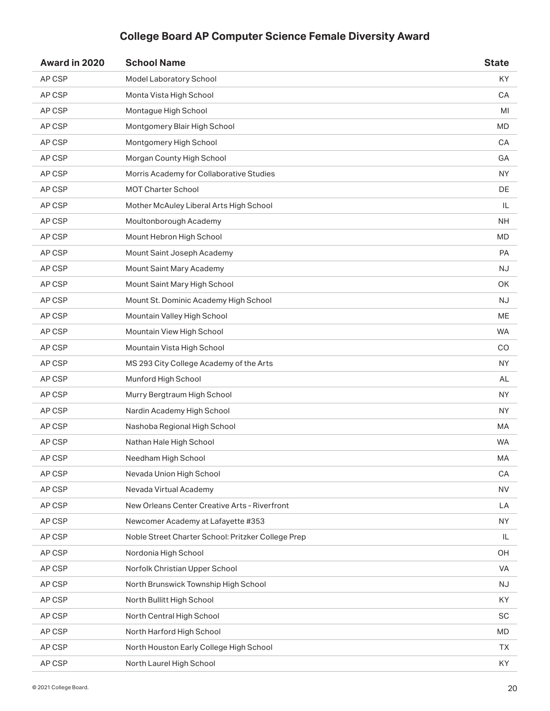| Award in 2020 | <b>School Name</b>                                 | <b>State</b> |
|---------------|----------------------------------------------------|--------------|
| AP CSP        | Model Laboratory School                            | KY           |
| AP CSP        | Monta Vista High School                            | CA           |
| AP CSP        | Montague High School                               | MI           |
| AP CSP        | Montgomery Blair High School                       | MD           |
| AP CSP        | Montgomery High School                             | CA           |
| AP CSP        | Morgan County High School                          | GA           |
| AP CSP        | Morris Academy for Collaborative Studies           | <b>NY</b>    |
| AP CSP        | <b>MOT Charter School</b>                          | DE           |
| AP CSP        | Mother McAuley Liberal Arts High School            | IL           |
| AP CSP        | Moultonborough Academy                             | <b>NH</b>    |
| AP CSP        | Mount Hebron High School                           | <b>MD</b>    |
| AP CSP        | Mount Saint Joseph Academy                         | <b>PA</b>    |
| AP CSP        | Mount Saint Mary Academy                           | <b>NJ</b>    |
| AP CSP        | Mount Saint Mary High School                       | OK           |
| AP CSP        | Mount St. Dominic Academy High School              | <b>NJ</b>    |
| AP CSP        | Mountain Valley High School                        | ME           |
| AP CSP        | Mountain View High School                          | WA           |
| AP CSP        | Mountain Vista High School                         | CO           |
| AP CSP        | MS 293 City College Academy of the Arts            | NY.          |
| AP CSP        | Munford High School                                | AL           |
| AP CSP        | Murry Bergtraum High School                        | NY.          |
| AP CSP        | Nardin Academy High School                         | <b>NY</b>    |
| AP CSP        | Nashoba Regional High School                       | МA           |
| AP CSP        | Nathan Hale High School                            | <b>WA</b>    |
| AP CSP        | Needham High School                                | MA           |
| AP CSP        | Nevada Union High School                           | CA           |
| AP CSP        | Nevada Virtual Academy                             | <b>NV</b>    |
| AP CSP        | New Orleans Center Creative Arts - Riverfront      | LA           |
| AP CSP        | Newcomer Academy at Lafayette #353                 | <b>NY</b>    |
| AP CSP        | Noble Street Charter School: Pritzker College Prep | IL           |
| AP CSP        | Nordonia High School                               | OH           |
| AP CSP        | Norfolk Christian Upper School                     | VA           |
| AP CSP        | North Brunswick Township High School               | <b>NJ</b>    |
| AP CSP        | North Bullitt High School                          | KY           |
| AP CSP        | North Central High School                          | <b>SC</b>    |
| AP CSP        | North Harford High School                          | <b>MD</b>    |
| AP CSP        | North Houston Early College High School            | ТX           |
| AP CSP        | North Laurel High School                           | KY           |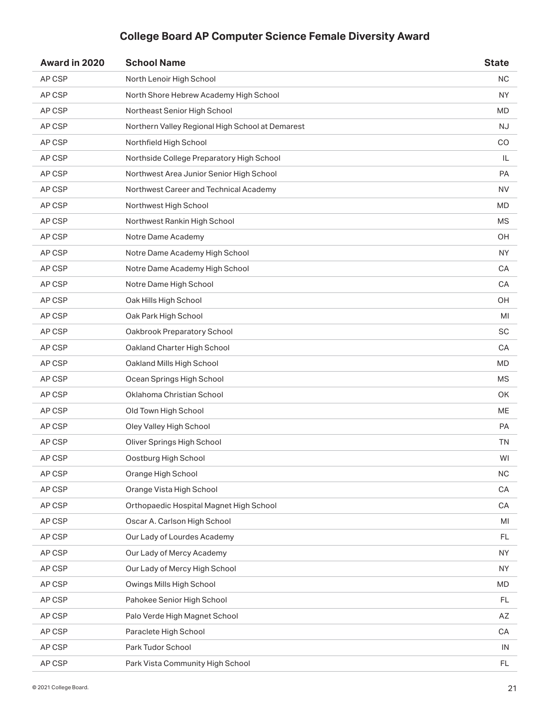| Award in 2020 | <b>School Name</b>                               | <b>State</b> |
|---------------|--------------------------------------------------|--------------|
| AP CSP        | North Lenoir High School                         | <b>NC</b>    |
| AP CSP        | North Shore Hebrew Academy High School           | NY.          |
| AP CSP        | Northeast Senior High School                     | <b>MD</b>    |
| AP CSP        | Northern Valley Regional High School at Demarest | NJ.          |
| AP CSP        | Northfield High School                           | CO           |
| AP CSP        | Northside College Preparatory High School        | IL           |
| AP CSP        | Northwest Area Junior Senior High School         | PA           |
| AP CSP        | Northwest Career and Technical Academy           | NV.          |
| AP CSP        | Northwest High School                            | MD           |
| AP CSP        | Northwest Rankin High School                     | <b>MS</b>    |
| AP CSP        | Notre Dame Academy                               | <b>OH</b>    |
| AP CSP        | Notre Dame Academy High School                   | <b>NY</b>    |
| AP CSP        | Notre Dame Academy High School                   | CA           |
| AP CSP        | Notre Dame High School                           | CA           |
| AP CSP        | Oak Hills High School                            | OH           |
| AP CSP        | Oak Park High School                             | MI           |
| AP CSP        | Oakbrook Preparatory School                      | SC           |
| AP CSP        | Oakland Charter High School                      | CA           |
| AP CSP        | Oakland Mills High School                        | MD           |
| AP CSP        | Ocean Springs High School                        | <b>MS</b>    |
| AP CSP        | Oklahoma Christian School                        | OK           |
| AP CSP        | Old Town High School                             | <b>ME</b>    |
| AP CSP        | Oley Valley High School                          | <b>PA</b>    |
| AP CSP        | Oliver Springs High School                       | <b>TN</b>    |
| AP CSP        | Oostburg High School                             | WI           |
| AP CSP        | Orange High School                               | <b>NC</b>    |
| AP CSP        | Orange Vista High School                         | CA           |
| AP CSP        | Orthopaedic Hospital Magnet High School          | CA           |
| AP CSP        | Oscar A. Carlson High School                     | MI           |
| AP CSP        | Our Lady of Lourdes Academy                      | <b>FL</b>    |
| AP CSP        | Our Lady of Mercy Academy                        | <b>NY</b>    |
| AP CSP        | Our Lady of Mercy High School                    | <b>NY</b>    |
| AP CSP        | Owings Mills High School                         | MD           |
| AP CSP        | Pahokee Senior High School                       | FL           |
| AP CSP        | Palo Verde High Magnet School                    | AZ           |
| AP CSP        | Paraclete High School                            | CA           |
| AP CSP        | Park Tudor School                                | IN           |
| AP CSP        | Park Vista Community High School                 | FL.          |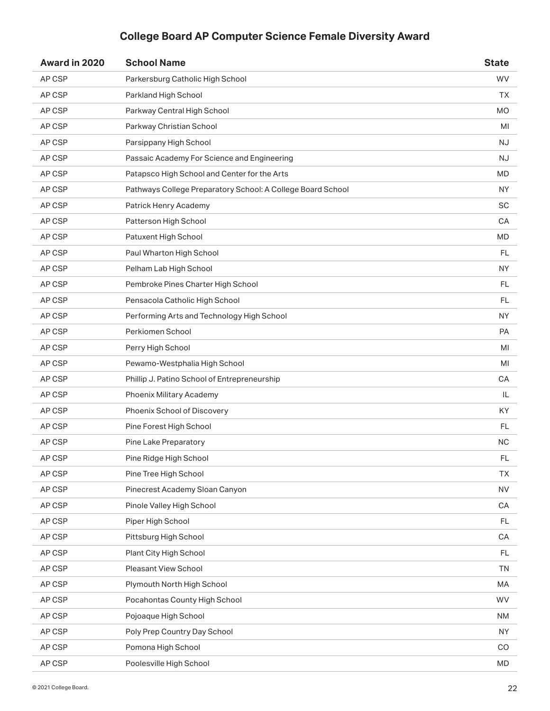| Award in 2020 | <b>School Name</b>                                          | <b>State</b> |
|---------------|-------------------------------------------------------------|--------------|
| AP CSP        | Parkersburg Catholic High School                            | <b>WV</b>    |
| AP CSP        | Parkland High School                                        | ТX           |
| AP CSP        | Parkway Central High School                                 | <b>MO</b>    |
| AP CSP        | Parkway Christian School                                    | MI           |
| AP CSP        | Parsippany High School                                      | <b>NJ</b>    |
| AP CSP        | Passaic Academy For Science and Engineering                 | NJ           |
| AP CSP        | Patapsco High School and Center for the Arts                | <b>MD</b>    |
| AP CSP        | Pathways College Preparatory School: A College Board School | ΝY           |
| AP CSP        | Patrick Henry Academy                                       | <b>SC</b>    |
| AP CSP        | Patterson High School                                       | CA           |
| AP CSP        | Patuxent High School                                        | <b>MD</b>    |
| AP CSP        | Paul Wharton High School                                    | FL           |
| AP CSP        | Pelham Lab High School                                      | NY.          |
| AP CSP        | Pembroke Pines Charter High School                          | <b>FL</b>    |
| AP CSP        | Pensacola Catholic High School                              | FL           |
| AP CSP        | Performing Arts and Technology High School                  | <b>NY</b>    |
| AP CSP        | Perkiomen School                                            | <b>PA</b>    |
| AP CSP        | Perry High School                                           | MI           |
| AP CSP        | Pewamo-Westphalia High School                               | MI           |
| AP CSP        | Phillip J. Patino School of Entrepreneurship                | CA           |
| AP CSP        | Phoenix Military Academy                                    | IL           |
| AP CSP        | Phoenix School of Discovery                                 | KY           |
| AP CSP        | Pine Forest High School                                     | FL           |
| AP CSP        | Pine Lake Preparatory                                       | <b>NC</b>    |
| AP CSP        | Pine Ridge High School                                      | <b>FL</b>    |
| AP CSP        | Pine Tree High School                                       | <b>TX</b>    |
| AP CSP        | Pinecrest Academy Sloan Canyon                              | <b>NV</b>    |
| AP CSP        | Pinole Valley High School                                   | CA           |
| AP CSP        | Piper High School                                           | <b>FL</b>    |
| AP CSP        | Pittsburg High School                                       | CA           |
| AP CSP        | Plant City High School                                      | <b>FL</b>    |
| AP CSP        | <b>Pleasant View School</b>                                 | <b>TN</b>    |
| AP CSP        | Plymouth North High School                                  | MA           |
| AP CSP        | Pocahontas County High School                               | <b>WV</b>    |
| AP CSP        | Pojoaque High School                                        | NM           |
| AP CSP        | Poly Prep Country Day School                                | <b>NY</b>    |
| AP CSP        | Pomona High School                                          | CO           |
| AP CSP        | Poolesville High School                                     | MD           |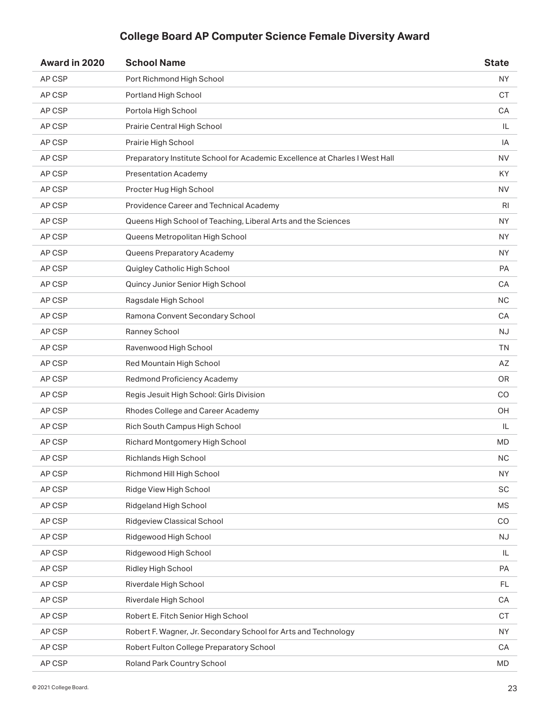| Award in 2020 | <b>School Name</b>                                                          | <b>State</b>   |
|---------------|-----------------------------------------------------------------------------|----------------|
| AP CSP        | Port Richmond High School                                                   | <b>NY</b>      |
| AP CSP        | Portland High School                                                        | <b>CT</b>      |
| AP CSP        | Portola High School                                                         | CA             |
| AP CSP        | Prairie Central High School                                                 | IL             |
| AP CSP        | Prairie High School                                                         | IA             |
| AP CSP        | Preparatory Institute School for Academic Excellence at Charles I West Hall | <b>NV</b>      |
| AP CSP        | <b>Presentation Academy</b>                                                 | KY             |
| AP CSP        | Procter Hug High School                                                     | <b>NV</b>      |
| AP CSP        | Providence Career and Technical Academy                                     | R <sub>l</sub> |
| AP CSP        | Queens High School of Teaching, Liberal Arts and the Sciences               | <b>NY</b>      |
| AP CSP        | Queens Metropolitan High School                                             | <b>NY</b>      |
| AP CSP        | Queens Preparatory Academy                                                  | <b>NY</b>      |
| AP CSP        | Quigley Catholic High School                                                | PA             |
| AP CSP        | Quincy Junior Senior High School                                            | CA             |
| AP CSP        | Ragsdale High School                                                        | <b>NC</b>      |
| AP CSP        | Ramona Convent Secondary School                                             | CA             |
| AP CSP        | Ranney School                                                               | <b>NJ</b>      |
| AP CSP        | Ravenwood High School                                                       | <b>TN</b>      |
| AP CSP        | Red Mountain High School                                                    | AZ             |
| AP CSP        | Redmond Proficiency Academy                                                 | <b>OR</b>      |
| AP CSP        | Regis Jesuit High School: Girls Division                                    | CO             |
| AP CSP        | Rhodes College and Career Academy                                           | OH             |
| AP CSP        | Rich South Campus High School                                               | IL             |
| AP CSP        | Richard Montgomery High School                                              | <b>MD</b>      |
| AP CSP        | Richlands High School                                                       | <b>NC</b>      |
| AP CSP        | Richmond Hill High School                                                   | <b>NY</b>      |
| AP CSP        | Ridge View High School                                                      | SC             |
| AP CSP        | Ridgeland High School                                                       | <b>MS</b>      |
| AP CSP        | Ridgeview Classical School                                                  | CO             |
| AP CSP        | Ridgewood High School                                                       | NJ             |
| AP CSP        | Ridgewood High School                                                       | IL             |
| AP CSP        | Ridley High School                                                          | PA             |
| AP CSP        | Riverdale High School                                                       | <b>FL</b>      |
| AP CSP        | Riverdale High School                                                       | CA             |
| AP CSP        | Robert E. Fitch Senior High School                                          | CT             |
| AP CSP        | Robert F. Wagner, Jr. Secondary School for Arts and Technology              | <b>NY</b>      |
| AP CSP        | Robert Fulton College Preparatory School                                    | CA             |
| AP CSP        | Roland Park Country School                                                  | MD             |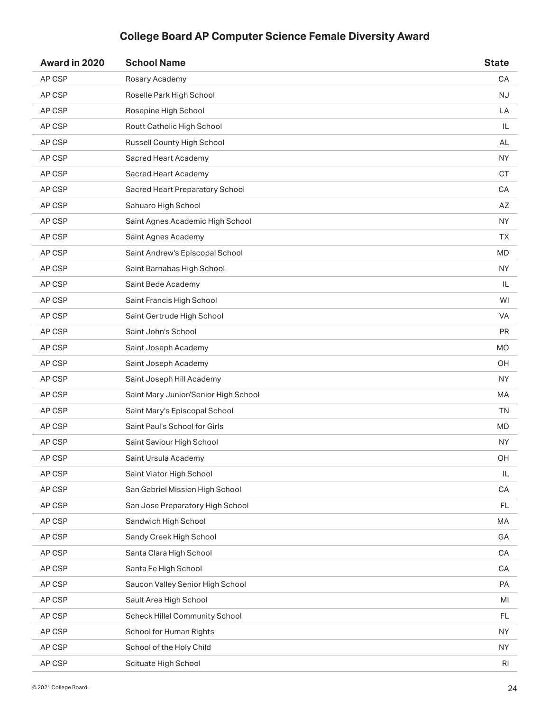| Award in 2020 | <b>School Name</b>                   | <b>State</b> |
|---------------|--------------------------------------|--------------|
| AP CSP        | Rosary Academy                       | CA           |
| AP CSP        | Roselle Park High School             | <b>NJ</b>    |
| AP CSP        | Rosepine High School                 | LA           |
| AP CSP        | Routt Catholic High School           | IL           |
| AP CSP        | Russell County High School           | AL           |
| AP CSP        | Sacred Heart Academy                 | NY.          |
| AP CSP        | <b>Sacred Heart Academy</b>          | <b>CT</b>    |
| AP CSP        | Sacred Heart Preparatory School      | CA           |
| AP CSP        | Sahuaro High School                  | AZ           |
| AP CSP        | Saint Agnes Academic High School     | NY.          |
| AP CSP        | Saint Agnes Academy                  | TΧ.          |
| AP CSP        | Saint Andrew's Episcopal School      | <b>MD</b>    |
| AP CSP        | Saint Barnabas High School           | <b>NY</b>    |
| AP CSP        | Saint Bede Academy                   | IL           |
| AP CSP        | Saint Francis High School            | WI           |
| AP CSP        | Saint Gertrude High School           | <b>VA</b>    |
| AP CSP        | Saint John's School                  | <b>PR</b>    |
| AP CSP        | Saint Joseph Academy                 | <b>MO</b>    |
| AP CSP        | Saint Joseph Academy                 | ОH           |
| AP CSP        | Saint Joseph Hill Academy            | <b>NY</b>    |
| AP CSP        | Saint Mary Junior/Senior High School | МA           |
| AP CSP        | Saint Mary's Episcopal School        | <b>TN</b>    |
| AP CSP        | Saint Paul's School for Girls        | MD           |
| AP CSP        | Saint Saviour High School            | NY.          |
| AP CSP        | Saint Ursula Academy                 | OH           |
| AP CSP        | Saint Viator High School             | IL           |
| AP CSP        | San Gabriel Mission High School      | CA           |
| AP CSP        | San Jose Preparatory High School     | <b>FL</b>    |
| AP CSP        | Sandwich High School                 | МA           |
| AP CSP        | Sandy Creek High School              | GA           |
| AP CSP        | Santa Clara High School              | CA           |
| AP CSP        | Santa Fe High School                 | CA           |
| AP CSP        | Saucon Valley Senior High School     | PA           |
| AP CSP        | Sault Area High School               | MI           |
| AP CSP        | Scheck Hillel Community School       | FL           |
| AP CSP        | School for Human Rights              | <b>NY</b>    |
| AP CSP        | School of the Holy Child             | NY           |
| AP CSP        | Scituate High School                 | RI           |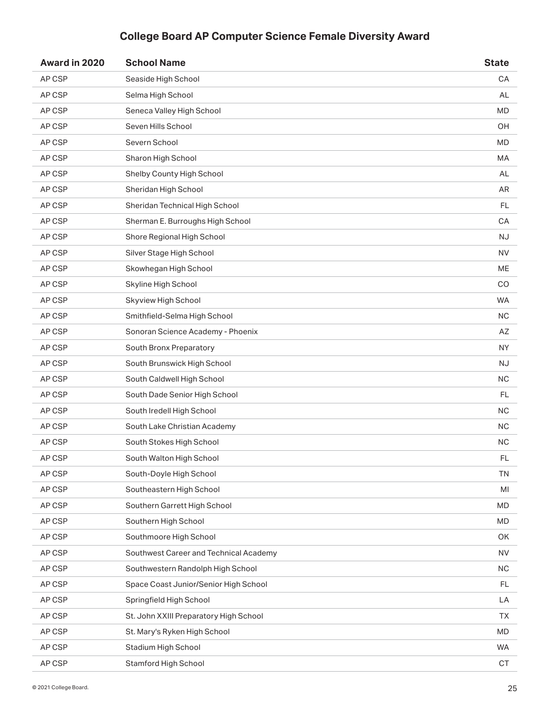| Award in 2020 | <b>School Name</b>                     | <b>State</b>  |
|---------------|----------------------------------------|---------------|
| AP CSP        | Seaside High School                    | CA            |
| AP CSP        | Selma High School                      | AL            |
| AP CSP        | Seneca Valley High School              | <b>MD</b>     |
| AP CSP        | Seven Hills School                     | OH            |
| AP CSP        | Severn School                          | <b>MD</b>     |
| AP CSP        | Sharon High School                     | MA            |
| AP CSP        | Shelby County High School              | AL            |
| AP CSP        | Sheridan High School                   | AR            |
| AP CSP        | Sheridan Technical High School         | <b>FL</b>     |
| AP CSP        | Sherman E. Burroughs High School       | CA            |
| AP CSP        | Shore Regional High School             | <b>NJ</b>     |
| AP CSP        | Silver Stage High School               | NV.           |
| AP CSP        | Skowhegan High School                  | ME            |
| AP CSP        | Skyline High School                    | CO            |
| AP CSP        | Skyview High School                    | <b>WA</b>     |
| AP CSP        | Smithfield-Selma High School           | <b>NC</b>     |
| AP CSP        | Sonoran Science Academy - Phoenix      | AZ            |
| AP CSP        | South Bronx Preparatory                | <b>NY</b>     |
| AP CSP        | South Brunswick High School            | <b>NJ</b>     |
| AP CSP        | South Caldwell High School             | <b>NC</b>     |
| AP CSP        | South Dade Senior High School          | FL.           |
| AP CSP        | South Iredell High School              | <b>NC</b>     |
| AP CSP        | South Lake Christian Academy           | NC.           |
| AP CSP        | South Stokes High School               | <b>NC</b>     |
| AP CSP        | South Walton High School               | $\mathsf{FL}$ |
| AP CSP        | South-Doyle High School                | <b>TN</b>     |
| AP CSP        | Southeastern High School               | MI            |
| AP CSP        | Southern Garrett High School           | MD            |
| AP CSP        | Southern High School                   | MD            |
| AP CSP        | Southmoore High School                 | OK            |
| AP CSP        | Southwest Career and Technical Academy | <b>NV</b>     |
| AP CSP        | Southwestern Randolph High School      | $NC$          |
| AP CSP        | Space Coast Junior/Senior High School  | FL            |
| AP CSP        | Springfield High School                | LA            |
| AP CSP        | St. John XXIII Preparatory High School | <b>TX</b>     |
| AP CSP        | St. Mary's Ryken High School           | MD            |
| AP CSP        | Stadium High School                    | WA.           |
| AP CSP        | <b>Stamford High School</b>            | CT            |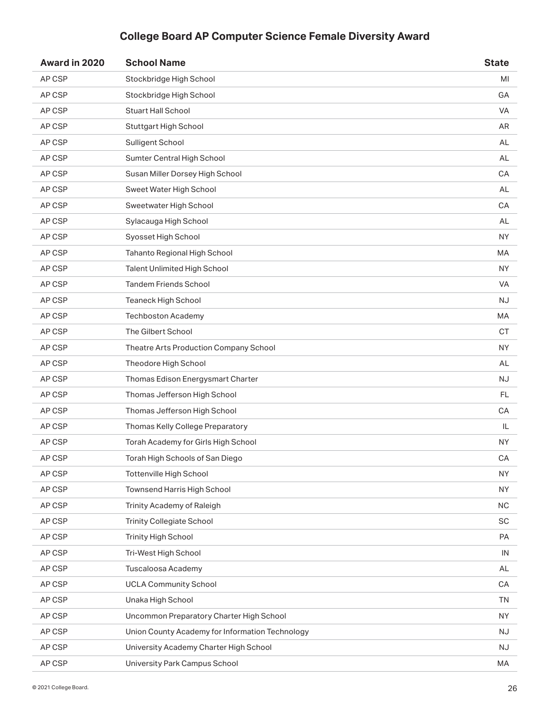| Award in 2020 | <b>School Name</b>                              | <b>State</b> |
|---------------|-------------------------------------------------|--------------|
| AP CSP        | Stockbridge High School                         | MI           |
| AP CSP        | Stockbridge High School                         | GA           |
| AP CSP        | <b>Stuart Hall School</b>                       | <b>VA</b>    |
| AP CSP        | Stuttgart High School                           | AR           |
| AP CSP        | Sulligent School                                | AL           |
| AP CSP        | Sumter Central High School                      | AL           |
| AP CSP        | Susan Miller Dorsey High School                 | CA           |
| AP CSP        | Sweet Water High School                         | AL           |
| AP CSP        | Sweetwater High School                          | CA           |
| AP CSP        | Sylacauga High School                           | AL           |
| AP CSP        | Syosset High School                             | <b>NY</b>    |
| AP CSP        | Tahanto Regional High School                    | MA           |
| AP CSP        | Talent Unlimited High School                    | <b>NY</b>    |
| AP CSP        | <b>Tandem Friends School</b>                    | <b>VA</b>    |
| AP CSP        | <b>Teaneck High School</b>                      | <b>NJ</b>    |
| AP CSP        | <b>Techboston Academy</b>                       | MA           |
| AP CSP        | The Gilbert School                              | <b>CT</b>    |
| AP CSP        | Theatre Arts Production Company School          | <b>NY</b>    |
| AP CSP        | Theodore High School                            | AL           |
| AP CSP        | Thomas Edison Energysmart Charter               | <b>NJ</b>    |
| AP CSP        | Thomas Jefferson High School                    | FL           |
| AP CSP        | Thomas Jefferson High School                    | CA           |
| AP CSP        | Thomas Kelly College Preparatory                | IL           |
| AP CSP        | Torah Academy for Girls High School             | <b>NY</b>    |
| AP CSP        | Torah High Schools of San Diego                 | CA           |
| AP CSP        | <b>Tottenville High School</b>                  | <b>NY</b>    |
| AP CSP        | Townsend Harris High School                     | <b>NY</b>    |
| AP CSP        | Trinity Academy of Raleigh                      | <b>NC</b>    |
| AP CSP        | <b>Trinity Collegiate School</b>                | SC           |
| AP CSP        | <b>Trinity High School</b>                      | PA           |
| AP CSP        | Tri-West High School                            | IN           |
| AP CSP        | Tuscaloosa Academy                              | AL           |
| AP CSP        | <b>UCLA Community School</b>                    | CA           |
| AP CSP        | Unaka High School                               | <b>TN</b>    |
| AP CSP        | Uncommon Preparatory Charter High School        | <b>NY</b>    |
| AP CSP        | Union County Academy for Information Technology | <b>NJ</b>    |
| AP CSP        | University Academy Charter High School          | NJ           |
| AP CSP        | University Park Campus School                   | MA           |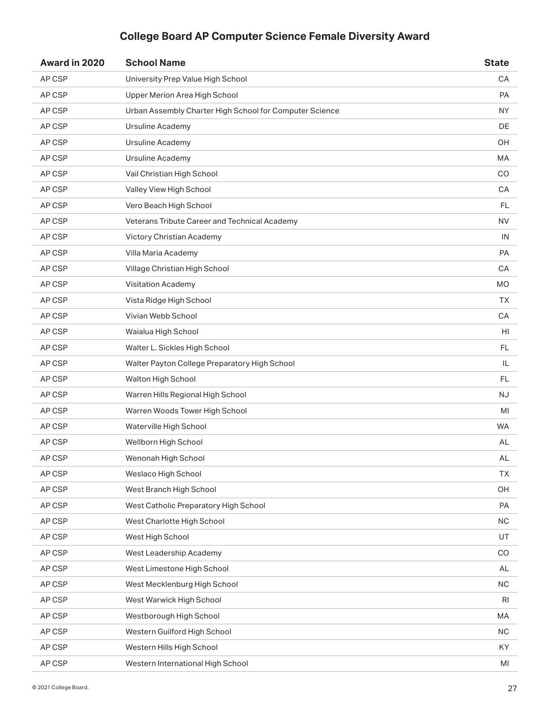| Award in 2020 | <b>School Name</b>                                      | <b>State</b> |
|---------------|---------------------------------------------------------|--------------|
| AP CSP        | University Prep Value High School                       | CA           |
| AP CSP        | Upper Merion Area High School                           | <b>PA</b>    |
| AP CSP        | Urban Assembly Charter High School for Computer Science | <b>NY</b>    |
| AP CSP        | <b>Ursuline Academy</b>                                 | DE           |
| AP CSP        | Ursuline Academy                                        | OH           |
| AP CSP        | Ursuline Academy                                        | MA           |
| AP CSP        | Vail Christian High School                              | CO           |
| AP CSP        | Valley View High School                                 | CA           |
| AP CSP        | Vero Beach High School                                  | FL           |
| AP CSP        | Veterans Tribute Career and Technical Academy           | <b>NV</b>    |
| AP CSP        | Victory Christian Academy                               | IN           |
| AP CSP        | Villa Maria Academy                                     | PA           |
| AP CSP        | Village Christian High School                           | CA           |
| AP CSP        | <b>Visitation Academy</b>                               | <b>MO</b>    |
| AP CSP        | Vista Ridge High School                                 | <b>TX</b>    |
| AP CSP        | Vivian Webb School                                      | CA           |
| AP CSP        | Waialua High School                                     | HI           |
| AP CSP        | Walter L. Sickles High School                           | <b>FL</b>    |
| AP CSP        | Walter Payton College Preparatory High School           | IL           |
| AP CSP        | Walton High School                                      | <b>FL</b>    |
| AP CSP        | Warren Hills Regional High School                       | <b>NJ</b>    |
| AP CSP        | Warren Woods Tower High School                          | MI           |
| AP CSP        | Waterville High School                                  | <b>WA</b>    |
| AP CSP        | Wellborn High School                                    | AL           |
| AP CSP        | Wenonah High School                                     | AL           |
| AP CSP        | Weslaco High School                                     | <b>TX</b>    |
| AP CSP        | West Branch High School                                 | OH           |
| AP CSP        | West Catholic Preparatory High School                   | PA           |
| AP CSP        | West Charlotte High School                              | $NC$         |
| AP CSP        | West High School                                        | UT           |
| AP CSP        | West Leadership Academy                                 | CO           |
| AP CSP        | West Limestone High School                              | AL           |
| AP CSP        | West Mecklenburg High School                            | <b>NC</b>    |
| AP CSP        | West Warwick High School                                | <b>RI</b>    |
| AP CSP        | Westborough High School                                 | MA           |
| AP CSP        | Western Guilford High School                            | <b>NC</b>    |
| AP CSP        | Western Hills High School                               | KY           |
| AP CSP        | Western International High School                       | MI           |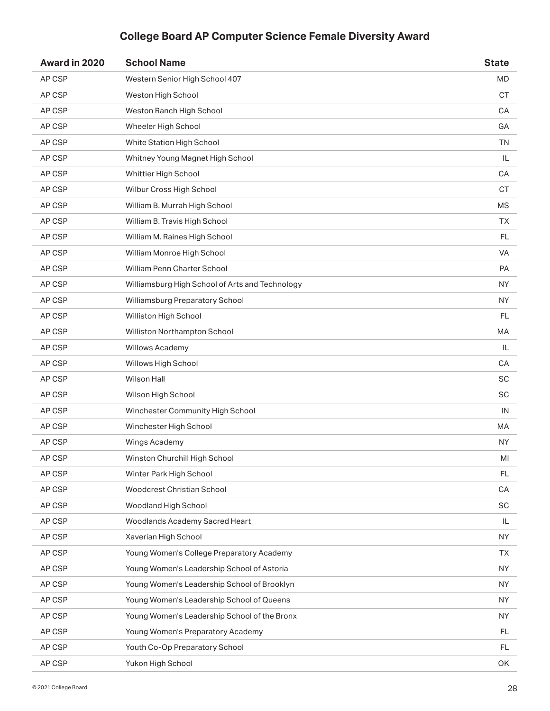| Award in 2020 | <b>School Name</b>                              | <b>State</b>  |
|---------------|-------------------------------------------------|---------------|
| AP CSP        | Western Senior High School 407                  | <b>MD</b>     |
| AP CSP        | Weston High School                              | CT.           |
| AP CSP        | Weston Ranch High School                        | CA            |
| AP CSP        | Wheeler High School                             | GА            |
| AP CSP        | White Station High School                       | <b>TN</b>     |
| AP CSP        | Whitney Young Magnet High School                | IL            |
| AP CSP        | Whittier High School                            | CA            |
| AP CSP        | Wilbur Cross High School                        | <b>CT</b>     |
| AP CSP        | William B. Murrah High School                   | <b>MS</b>     |
| AP CSP        | William B. Travis High School                   | TХ            |
| AP CSP        | William M. Raines High School                   | <b>FL</b>     |
| AP CSP        | William Monroe High School                      | <b>VA</b>     |
| AP CSP        | William Penn Charter School                     | <b>PA</b>     |
| AP CSP        | Williamsburg High School of Arts and Technology | <b>NY</b>     |
| AP CSP        | Williamsburg Preparatory School                 | <b>NY</b>     |
| AP CSP        | Williston High School                           | FL.           |
| AP CSP        | Williston Northampton School                    | MA            |
| AP CSP        | Willows Academy                                 | IL            |
| AP CSP        | Willows High School                             | CA            |
| AP CSP        | Wilson Hall                                     | <b>SC</b>     |
| AP CSP        | Wilson High School                              | SC            |
| AP CSP        | Winchester Community High School                | IN            |
| AP CSP        | Winchester High School                          | МA            |
| AP CSP        | Wings Academy                                   | NY.           |
| AP CSP        | Winston Churchill High School                   | $\mathsf{MI}$ |
| AP CSP        | Winter Park High School                         | FL.           |
| AP CSP        | Woodcrest Christian School                      | CA            |
| AP CSP        | Woodland High School                            | SC            |
| AP CSP        | Woodlands Academy Sacred Heart                  | IL            |
| AP CSP        | Xaverian High School                            | <b>NY</b>     |
| AP CSP        | Young Women's College Preparatory Academy       | ТX            |
| AP CSP        | Young Women's Leadership School of Astoria      | <b>NY</b>     |
| AP CSP        | Young Women's Leadership School of Brooklyn     | <b>NY</b>     |
| AP CSP        | Young Women's Leadership School of Queens       | <b>NY</b>     |
| AP CSP        | Young Women's Leadership School of the Bronx    | NY.           |
| AP CSP        | Young Women's Preparatory Academy               | FL            |
| AP CSP        | Youth Co-Op Preparatory School                  | FL            |
| AP CSP        | Yukon High School                               | OK            |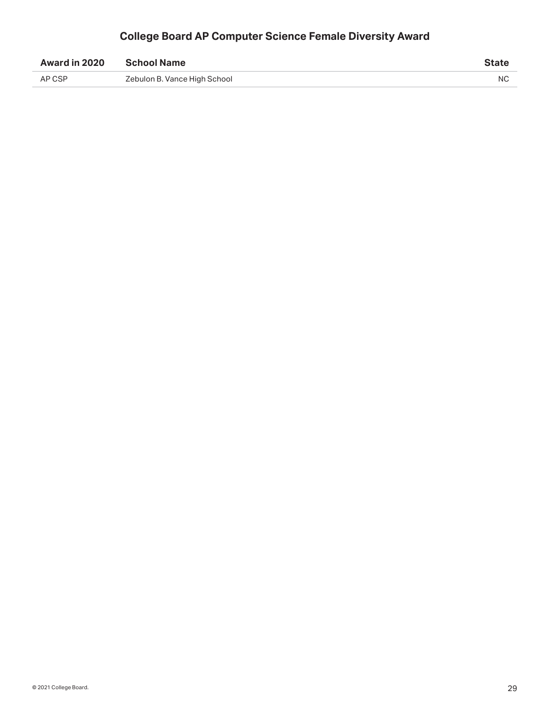| Award in 2020 | <b>School Name</b>           | State |
|---------------|------------------------------|-------|
| AP CSP        | Zebulon B. Vance High School | NC.   |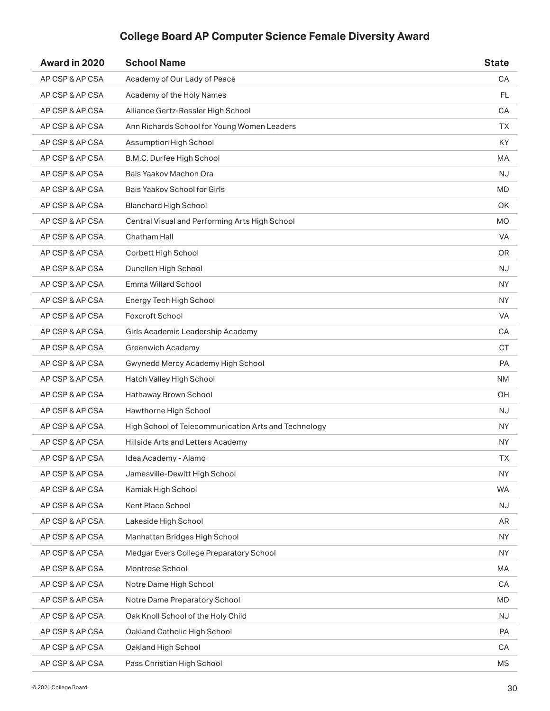| Award in 2020   | <b>School Name</b>                                   | <b>State</b> |
|-----------------|------------------------------------------------------|--------------|
| AP CSP & AP CSA | Academy of Our Lady of Peace                         | CA           |
| AP CSP & AP CSA | Academy of the Holy Names                            | FL           |
| AP CSP & AP CSA | Alliance Gertz-Ressler High School                   | CA           |
| AP CSP & AP CSA | Ann Richards School for Young Women Leaders          | ТX           |
| AP CSP & AP CSA | Assumption High School                               | KY           |
| AP CSP & AP CSA | B.M.C. Durfee High School                            | MA           |
| AP CSP & AP CSA | Bais Yaakov Machon Ora                               | <b>NJ</b>    |
| AP CSP & AP CSA | Bais Yaakov School for Girls                         | MD           |
| AP CSP & AP CSA | <b>Blanchard High School</b>                         | <b>OK</b>    |
| AP CSP & AP CSA | Central Visual and Performing Arts High School       | MO           |
| AP CSP & AP CSA | Chatham Hall                                         | <b>VA</b>    |
| AP CSP & AP CSA | Corbett High School                                  | OR.          |
| AP CSP & AP CSA | Dunellen High School                                 | NJ.          |
| AP CSP & AP CSA | <b>Emma Willard School</b>                           | <b>NY</b>    |
| AP CSP & AP CSA | Energy Tech High School                              | <b>NY</b>    |
| AP CSP & AP CSA | Foxcroft School                                      | <b>VA</b>    |
| AP CSP & AP CSA | Girls Academic Leadership Academy                    | CA           |
| AP CSP & AP CSA | <b>Greenwich Academy</b>                             | <b>CT</b>    |
| AP CSP & AP CSA | Gwynedd Mercy Academy High School                    | <b>PA</b>    |
| AP CSP & AP CSA | Hatch Valley High School                             | <b>NM</b>    |
| AP CSP & AP CSA | Hathaway Brown School                                | OH.          |
| AP CSP & AP CSA | Hawthorne High School                                | NJ.          |
| AP CSP & AP CSA | High School of Telecommunication Arts and Technology | NY.          |
| AP CSP & AP CSA | Hillside Arts and Letters Academy                    | <b>NY</b>    |
| AP CSP & AP CSA | Idea Academy - Alamo                                 | TX           |
| AP CSP & AP CSA | Jamesville-Dewitt High School                        | NY.          |
| AP CSP & AP CSA | Kamiak High School                                   | <b>WA</b>    |
| AP CSP & AP CSA | Kent Place School                                    | <b>NJ</b>    |
| AP CSP & AP CSA | Lakeside High School                                 | AR           |
| AP CSP & AP CSA | Manhattan Bridges High School                        | <b>NY</b>    |
| AP CSP & AP CSA | Medgar Evers College Preparatory School              | <b>NY</b>    |
| AP CSP & AP CSA | Montrose School                                      | MA           |
| AP CSP & AP CSA | Notre Dame High School                               | CA           |
| AP CSP & AP CSA | Notre Dame Preparatory School                        | <b>MD</b>    |
| AP CSP & AP CSA | Oak Knoll School of the Holy Child                   | <b>NJ</b>    |
| AP CSP & AP CSA | Oakland Catholic High School                         | PA           |
| AP CSP & AP CSA | Oakland High School                                  | CA           |
| AP CSP & AP CSA | Pass Christian High School                           | MS           |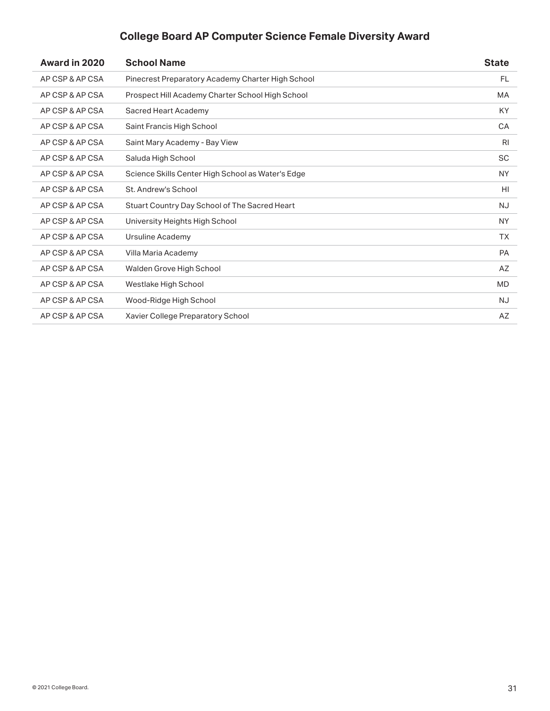| Award in 2020   | <b>School Name</b>                                | <b>State</b>   |
|-----------------|---------------------------------------------------|----------------|
| AP CSP & AP CSA | Pinecrest Preparatory Academy Charter High School | <b>FL</b>      |
| AP CSP & AP CSA | Prospect Hill Academy Charter School High School  | <b>MA</b>      |
| AP CSP & AP CSA | Sacred Heart Academy                              | KY             |
| AP CSP & AP CSA | Saint Francis High School                         | CA             |
| AP CSP & AP CSA | Saint Mary Academy - Bay View                     | R <sub>l</sub> |
| AP CSP & AP CSA | Saluda High School                                | <b>SC</b>      |
| AP CSP & AP CSA | Science Skills Center High School as Water's Edge | <b>NY</b>      |
| AP CSP & AP CSA | St. Andrew's School                               | HI             |
| AP CSP & AP CSA | Stuart Country Day School of The Sacred Heart     | <b>NJ</b>      |
| AP CSP & AP CSA | University Heights High School                    | <b>NY</b>      |
| AP CSP & AP CSA | Ursuline Academy                                  | <b>TX</b>      |
| AP CSP & AP CSA | Villa Maria Academy                               | <b>PA</b>      |
| AP CSP & AP CSA | Walden Grove High School                          | AZ             |
| AP CSP & AP CSA | Westlake High School                              | <b>MD</b>      |
| AP CSP & AP CSA | Wood-Ridge High School                            | NJ.            |
| AP CSP & AP CSA | Xavier College Preparatory School                 | AZ             |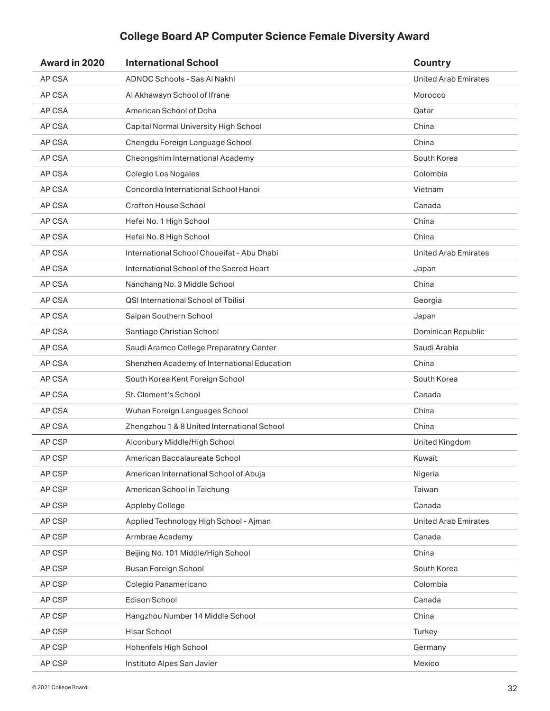| Award in 2020 | <b>International School</b>                 | <b>Country</b>              |
|---------------|---------------------------------------------|-----------------------------|
| AP CSA        | <b>ADNOC Schools - Sas AI Nakhl</b>         | <b>United Arab Emirates</b> |
| AP CSA        | Al Akhawayn School of Ifrane                | Morocco                     |
| AP CSA        | American School of Doha                     | Qatar                       |
| AP CSA        | Capital Normal University High School       | China                       |
| AP CSA        | Chengdu Foreign Language School             | China                       |
| AP CSA        | Cheongshim International Academy            | South Korea                 |
| AP CSA        | Colegio Los Nogales                         | Colombia                    |
| AP CSA        | Concordia International School Hanoi        | Vietnam                     |
| AP CSA        | Crofton House School                        | Canada                      |
| AP CSA        | Hefei No. 1 High School                     | China                       |
| AP CSA        | Hefei No. 8 High School                     | China                       |
| AP CSA        | International School Choueifat - Abu Dhabi  | <b>United Arab Emirates</b> |
| AP CSA        | International School of the Sacred Heart    | Japan                       |
| AP CSA        | Nanchang No. 3 Middle School                | China                       |
| AP CSA        | QSI International School of Tbilisi         | Georgia                     |
| AP CSA        | Saipan Southern School                      | Japan                       |
| AP CSA        | Santiago Christian School                   | Dominican Republic          |
| AP CSA        | Saudi Aramco College Preparatory Center     | Saudi Arabia                |
| AP CSA        | Shenzhen Academy of International Education | China                       |
| AP CSA        | South Korea Kent Foreign School             | South Korea                 |
| AP CSA        | St. Clement's School                        | Canada                      |
| AP CSA        | Wuhan Foreign Languages School              | China                       |
| AP CSA        | Zhengzhou 1 & 8 United International School | China                       |
| AP CSP        | Alconbury Middle/High School                | United Kingdom              |
| AP CSP        | American Baccalaureate School               | Kuwait                      |
| AP CSP        | American International School of Abuja      | Nigeria                     |
| AP CSP        | American School in Taichung                 | Taiwan                      |
| AP CSP        | <b>Appleby College</b>                      | Canada                      |
| AP CSP        | Applied Technology High School - Ajman      | <b>United Arab Emirates</b> |
| AP CSP        | Armbrae Academy                             | Canada                      |
| AP CSP        | Beijing No. 101 Middle/High School          | China                       |
| AP CSP        | Busan Foreign School                        | South Korea                 |
| AP CSP        | Colegio Panamericano                        | Colombia                    |
| AP CSP        | Edison School                               | Canada                      |
| AP CSP        | Hangzhou Number 14 Middle School            | China                       |
| AP CSP        | Hisar School                                | Turkey                      |
| AP CSP        | Hohenfels High School                       | Germany                     |
| AP CSP        | Instituto Alpes San Javier                  | Mexico                      |